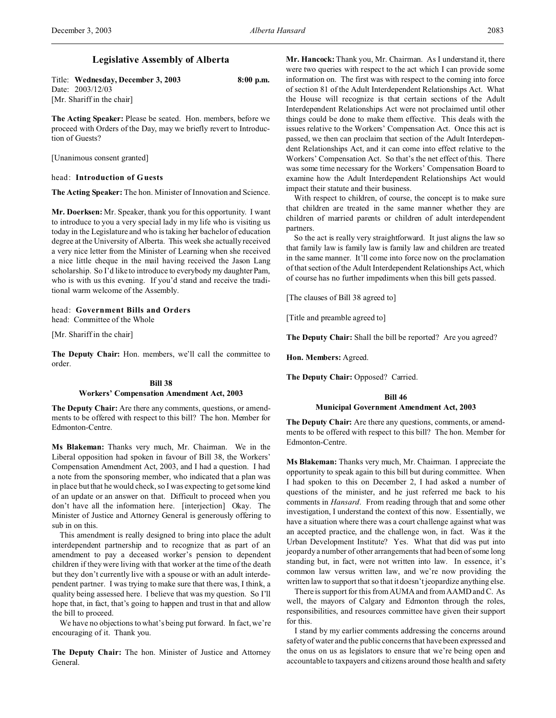# **Legislative Assembly of Alberta**

| Title: Wednesday, December 3, 2003 | $8:00$ p.m. |
|------------------------------------|-------------|
| Date: 2003/12/03                   |             |
| [Mr. Shariff in the chair]         |             |

**The Acting Speaker:** Please be seated. Hon. members, before we proceed with Orders of the Day, may we briefly revert to Introduction of Guests?

[Unanimous consent granted]

### head: **Introduction of Guests**

**The Acting Speaker:** The hon. Minister of Innovation and Science.

**Mr. Doerksen:** Mr. Speaker, thank you for this opportunity. I want to introduce to you a very special lady in my life who is visiting us today in the Legislature and who is taking her bachelor of education degree at the University of Alberta. This week she actually received a very nice letter from the Minister of Learning when she received a nice little cheque in the mail having received the Jason Lang scholarship. So I'd like to introduce to everybody my daughter Pam, who is with us this evening. If you'd stand and receive the traditional warm welcome of the Assembly.

## head: **Government Bills and Orders** head: Committee of the Whole

[Mr. Shariff in the chair]

**The Deputy Chair:** Hon. members, we'll call the committee to order.

## **Bill 38 Workers' Compensation Amendment Act, 2003**

**The Deputy Chair:** Are there any comments, questions, or amendments to be offered with respect to this bill? The hon. Member for Edmonton-Centre.

**Ms Blakeman:** Thanks very much, Mr. Chairman. We in the Liberal opposition had spoken in favour of Bill 38, the Workers' Compensation Amendment Act, 2003, and I had a question. I had a note from the sponsoring member, who indicated that a plan was in place but that he would check, so I was expecting to get some kind of an update or an answer on that. Difficult to proceed when you don't have all the information here. [interjection] Okay. The Minister of Justice and Attorney General is generously offering to sub in on this.

This amendment is really designed to bring into place the adult interdependent partnership and to recognize that as part of an amendment to pay a deceased worker's pension to dependent children if they were living with that worker at the time of the death but they don't currently live with a spouse or with an adult interdependent partner. I was trying to make sure that there was, I think, a quality being assessed here. I believe that was my question. So I'll hope that, in fact, that's going to happen and trust in that and allow the bill to proceed.

We have no objections to what's being put forward. In fact, we're encouraging of it. Thank you.

**The Deputy Chair:** The hon. Minister of Justice and Attorney General.

**Mr. Hancock:** Thank you, Mr. Chairman. As I understand it, there were two queries with respect to the act which I can provide some information on. The first was with respect to the coming into force of section 81 of the Adult Interdependent Relationships Act. What the House will recognize is that certain sections of the Adult Interdependent Relationships Act were not proclaimed until other things could be done to make them effective. This deals with the issues relative to the Workers' Compensation Act. Once this act is passed, we then can proclaim that section of the Adult Interdependent Relationships Act, and it can come into effect relative to the Workers' Compensation Act. So that's the net effect of this. There was some time necessary for the Workers' Compensation Board to examine how the Adult Interdependent Relationships Act would impact their statute and their business.

With respect to children, of course, the concept is to make sure that children are treated in the same manner whether they are children of married parents or children of adult interdependent partners.

So the act is really very straightforward. It just aligns the law so that family law is family law is family law and children are treated in the same manner. It'll come into force now on the proclamation of that section of the Adult Interdependent Relationships Act, which of course has no further impediments when this bill gets passed.

[The clauses of Bill 38 agreed to]

[Title and preamble agreed to]

**The Deputy Chair:** Shall the bill be reported? Are you agreed?

**Hon. Members:** Agreed.

**The Deputy Chair:** Opposed? Carried.

### **Bill 46**

### **Municipal Government Amendment Act, 2003**

**The Deputy Chair:** Are there any questions, comments, or amendments to be offered with respect to this bill? The hon. Member for Edmonton-Centre.

**Ms Blakeman:** Thanks very much, Mr. Chairman. I appreciate the opportunity to speak again to this bill but during committee. When I had spoken to this on December 2, I had asked a number of questions of the minister, and he just referred me back to his comments in *Hansard*. From reading through that and some other investigation, I understand the context of this now. Essentially, we have a situation where there was a court challenge against what was an accepted practice, and the challenge won, in fact. Was it the Urban Development Institute? Yes. What that did was put into jeopardy a number of other arrangements that had been of some long standing but, in fact, were not written into law. In essence, it's common law versus written law, and we're now providing the written law to support that so that it doesn't jeopardize anything else.

There is support for this from AUMA and from AAMD and C. As well, the mayors of Calgary and Edmonton through the roles, responsibilities, and resources committee have given their support for this.

I stand by my earlier comments addressing the concerns around safety of water and the public concerns that have been expressed and the onus on us as legislators to ensure that we're being open and accountable to taxpayers and citizens around those health and safety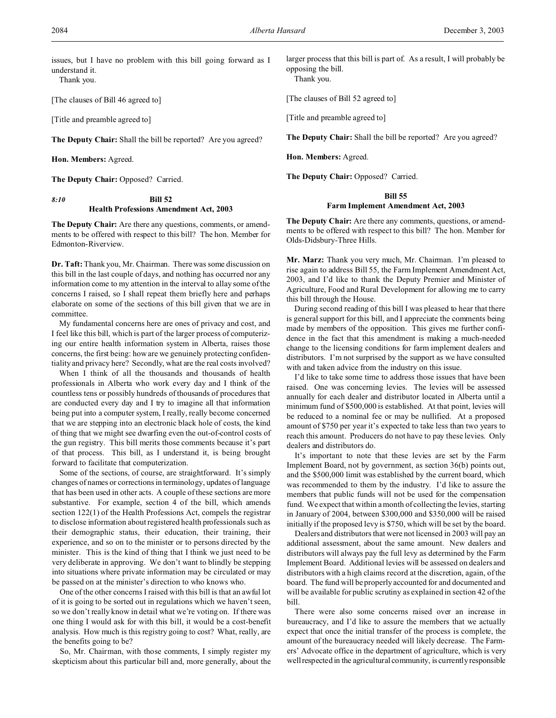issues, but I have no problem with this bill going forward as I understand it.

Thank you.

[The clauses of Bill 46 agreed to]

[Title and preamble agreed to]

**The Deputy Chair:** Shall the bill be reported? Are you agreed?

**Hon. Members:** Agreed.

**The Deputy Chair:** Opposed? Carried.

# *8:10* **Bill 52 Health Professions Amendment Act, 2003**

**The Deputy Chair:** Are there any questions, comments, or amendments to be offered with respect to this bill? The hon. Member for Edmonton-Riverview.

**Dr. Taft:** Thank you, Mr. Chairman. There was some discussion on this bill in the last couple of days, and nothing has occurred nor any information come to my attention in the interval to allay some of the concerns I raised, so I shall repeat them briefly here and perhaps elaborate on some of the sections of this bill given that we are in committee.

My fundamental concerns here are ones of privacy and cost, and I feel like this bill, which is part of the larger process of computerizing our entire health information system in Alberta, raises those concerns, the first being: how are we genuinely protecting confidentiality and privacy here? Secondly, what are the real costs involved?

When I think of all the thousands and thousands of health professionals in Alberta who work every day and I think of the countless tens or possibly hundreds of thousands of procedures that are conducted every day and I try to imagine all that information being put into a computer system, I really, really become concerned that we are stepping into an electronic black hole of costs, the kind of thing that we might see dwarfing even the out-of-control costs of the gun registry. This bill merits those comments because it's part of that process. This bill, as I understand it, is being brought forward to facilitate that computerization.

Some of the sections, of course, are straightforward. It's simply changes of names or corrections in terminology, updates of language that has been used in other acts. A couple of these sections are more substantive. For example, section 4 of the bill, which amends section 122(1) of the Health Professions Act, compels the registrar to disclose information about registered health professionals such as their demographic status, their education, their training, their experience, and so on to the minister or to persons directed by the minister. This is the kind of thing that I think we just need to be very deliberate in approving. We don't want to blindly be stepping into situations where private information may be circulated or may be passed on at the minister's direction to who knows who.

One of the other concerns I raised with this bill is that an awful lot of it is going to be sorted out in regulations which we haven't seen, so we don't really know in detail what we're voting on. If there was one thing I would ask for with this bill, it would be a cost-benefit analysis. How much is this registry going to cost? What, really, are the benefits going to be?

So, Mr. Chairman, with those comments, I simply register my skepticism about this particular bill and, more generally, about the larger process that this bill is part of. As a result, I will probably be opposing the bill.

Thank you.

[The clauses of Bill 52 agreed to]

[Title and preamble agreed to]

**The Deputy Chair:** Shall the bill be reported? Are you agreed?

**Hon. Members:** Agreed.

**The Deputy Chair:** Opposed? Carried.

### **Bill 55**

#### **Farm Implement Amendment Act, 2003**

**The Deputy Chair:** Are there any comments, questions, or amendments to be offered with respect to this bill? The hon. Member for Olds-Didsbury-Three Hills.

**Mr. Marz:** Thank you very much, Mr. Chairman. I'm pleased to rise again to address Bill 55, the Farm Implement Amendment Act, 2003, and I'd like to thank the Deputy Premier and Minister of Agriculture, Food and Rural Development for allowing me to carry this bill through the House.

During second reading of this bill I was pleased to hear that there is general support for this bill, and I appreciate the comments being made by members of the opposition. This gives me further confidence in the fact that this amendment is making a much-needed change to the licensing conditions for farm implement dealers and distributors. I'm not surprised by the support as we have consulted with and taken advice from the industry on this issue.

I'd like to take some time to address those issues that have been raised. One was concerning levies. The levies will be assessed annually for each dealer and distributor located in Alberta until a minimum fund of \$500,000 is established. At that point, levies will be reduced to a nominal fee or may be nullified. At a proposed amount of \$750 per year it's expected to take less than two years to reach this amount. Producers do not have to pay these levies. Only dealers and distributors do.

It's important to note that these levies are set by the Farm Implement Board, not by government, as section 36(b) points out, and the \$500,000 limit was established by the current board, which was recommended to them by the industry. I'd like to assure the members that public funds will not be used for the compensation fund. We expect that within a month of collecting the levies, starting in January of 2004, between \$300,000 and \$350,000 will be raised initially if the proposed levy is \$750, which will be set by the board.

Dealers and distributors that were not licensed in 2003 will pay an additional assessment, about the same amount. New dealers and distributors will always pay the full levy as determined by the Farm Implement Board. Additional levies will be assessed on dealers and distributors with a high claims record at the discretion, again, of the board. The fund will be properly accounted for and documented and will be available for public scrutiny as explained in section 42 of the bill.

There were also some concerns raised over an increase in bureaucracy, and I'd like to assure the members that we actually expect that once the initial transfer of the process is complete, the amount of the bureaucracy needed will likely decrease. The Farmers' Advocate office in the department of agriculture, which is very well respected in the agricultural community, is currently responsible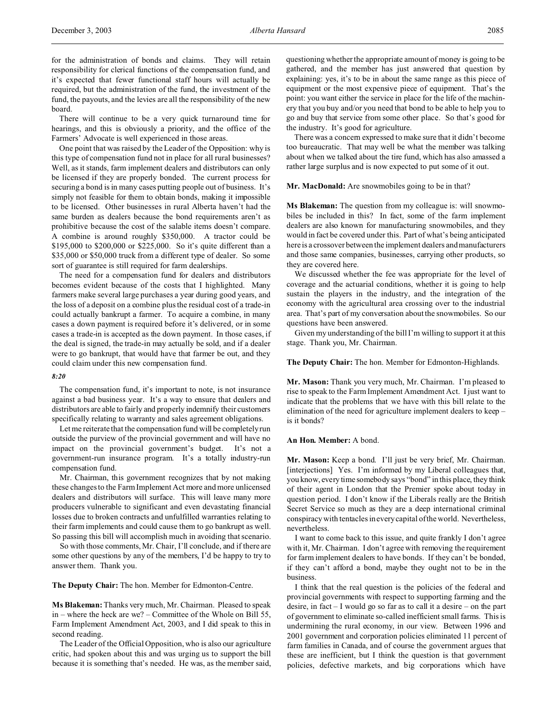for the administration of bonds and claims. They will retain responsibility for clerical functions of the compensation fund, and it's expected that fewer functional staff hours will actually be required, but the administration of the fund, the investment of the fund, the payouts, and the levies are all the responsibility of the new board.

There will continue to be a very quick turnaround time for hearings, and this is obviously a priority, and the office of the Farmers' Advocate is well experienced in those areas.

One point that was raised by the Leader of the Opposition: why is this type of compensation fund not in place for all rural businesses? Well, as it stands, farm implement dealers and distributors can only be licensed if they are properly bonded. The current process for securing a bond is in many cases putting people out of business. It's simply not feasible for them to obtain bonds, making it impossible to be licensed. Other businesses in rural Alberta haven't had the same burden as dealers because the bond requirements aren't as prohibitive because the cost of the salable items doesn't compare. A combine is around roughly \$350,000. A tractor could be \$195,000 to \$200,000 or \$225,000. So it's quite different than a \$35,000 or \$50,000 truck from a different type of dealer. So some sort of guarantee is still required for farm dealerships.

The need for a compensation fund for dealers and distributors becomes evident because of the costs that I highlighted. Many farmers make several large purchases a year during good years, and the loss of a deposit on a combine plus the residual cost of a trade-in could actually bankrupt a farmer. To acquire a combine, in many cases a down payment is required before it's delivered, or in some cases a trade-in is accepted as the down payment. In those cases, if the deal is signed, the trade-in may actually be sold, and if a dealer were to go bankrupt, that would have that farmer be out, and they could claim under this new compensation fund.

#### *8:20*

The compensation fund, it's important to note, is not insurance against a bad business year. It's a way to ensure that dealers and distributors are able to fairly and properly indemnify their customers specifically relating to warranty and sales agreement obligations.

Let me reiterate that the compensation fund will be completely run outside the purview of the provincial government and will have no impact on the provincial government's budget. It's not a government-run insurance program. It's a totally industry-run compensation fund.

Mr. Chairman, this government recognizes that by not making these changes to the Farm Implement Act more and more unlicensed dealers and distributors will surface. This will leave many more producers vulnerable to significant and even devastating financial losses due to broken contracts and unfulfilled warranties relating to their farm implements and could cause them to go bankrupt as well. So passing this bill will accomplish much in avoiding that scenario.

So with those comments, Mr. Chair, I'll conclude, and if there are some other questions by any of the members, I'd be happy to try to answer them. Thank you.

**The Deputy Chair:** The hon. Member for Edmonton-Centre.

**Ms Blakeman:** Thanks very much, Mr. Chairman. Pleased to speak in – where the heck are we? – Committee of the Whole on Bill 55, Farm Implement Amendment Act, 2003, and I did speak to this in second reading.

The Leader of the Official Opposition, who is also our agriculture critic, had spoken about this and was urging us to support the bill because it is something that's needed. He was, as the member said, questioning whether the appropriate amount of money is going to be gathered, and the member has just answered that question by explaining: yes, it's to be in about the same range as this piece of equipment or the most expensive piece of equipment. That's the point: you want either the service in place for the life of the machinery that you buy and/or you need that bond to be able to help you to go and buy that service from some other place. So that's good for the industry. It's good for agriculture.

There was a concern expressed to make sure that it didn't become too bureaucratic. That may well be what the member was talking about when we talked about the tire fund, which has also amassed a rather large surplus and is now expected to put some of it out.

**Mr. MacDonald:** Are snowmobiles going to be in that?

**Ms Blakeman:** The question from my colleague is: will snowmobiles be included in this? In fact, some of the farm implement dealers are also known for manufacturing snowmobiles, and they would in fact be covered under this. Part of what's being anticipated here is a crossover between the implement dealers and manufacturers and those same companies, businesses, carrying other products, so they are covered here.

We discussed whether the fee was appropriate for the level of coverage and the actuarial conditions, whether it is going to help sustain the players in the industry, and the integration of the economy with the agricultural area crossing over to the industrial area. That's part of my conversation about the snowmobiles. So our questions have been answered.

Given my understanding of the bill I'm willing to support it at this stage. Thank you, Mr. Chairman.

**The Deputy Chair:** The hon. Member for Edmonton-Highlands.

**Mr. Mason:** Thank you very much, Mr. Chairman. I'm pleased to rise to speak to the Farm Implement Amendment Act. I just want to indicate that the problems that we have with this bill relate to the elimination of the need for agriculture implement dealers to keep – is it bonds?

### **An Hon. Member:** A bond.

**Mr. Mason:** Keep a bond. I'll just be very brief, Mr. Chairman. [interjections] Yes. I'm informed by my Liberal colleagues that, you know, every time somebody says "bond" in this place, they think of their agent in London that the Premier spoke about today in question period. I don't know if the Liberals really are the British Secret Service so much as they are a deep international criminal conspiracy with tentacles in every capital of the world. Nevertheless, nevertheless.

I want to come back to this issue, and quite frankly I don't agree with it, Mr. Chairman. I don't agree with removing the requirement for farm implement dealers to have bonds. If they can't be bonded, if they can't afford a bond, maybe they ought not to be in the business.

I think that the real question is the policies of the federal and provincial governments with respect to supporting farming and the desire, in fact – I would go so far as to call it a desire – on the part of government to eliminate so-called inefficient small farms. This is undermining the rural economy, in our view. Between 1996 and 2001 government and corporation policies eliminated 11 percent of farm families in Canada, and of course the government argues that these are inefficient, but I think the question is that government policies, defective markets, and big corporations which have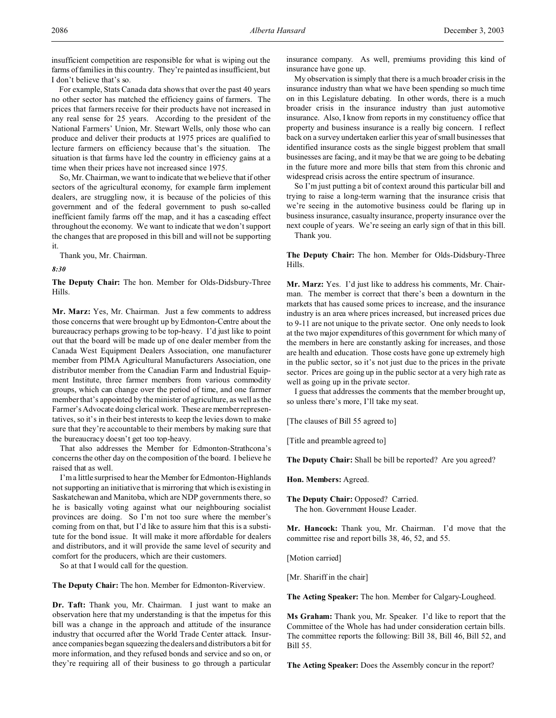For example, Stats Canada data shows that over the past 40 years no other sector has matched the efficiency gains of farmers. The prices that farmers receive for their products have not increased in any real sense for 25 years. According to the president of the National Farmers' Union, Mr. Stewart Wells, only those who can produce and deliver their products at 1975 prices are qualified to lecture farmers on efficiency because that's the situation. The situation is that farms have led the country in efficiency gains at a time when their prices have not increased since 1975.

So, Mr. Chairman, we want to indicate that we believe that if other sectors of the agricultural economy, for example farm implement dealers, are struggling now, it is because of the policies of this government and of the federal government to push so-called inefficient family farms off the map, and it has a cascading effect throughout the economy. We want to indicate that we don't support the changes that are proposed in this bill and will not be supporting it.

Thank you, Mr. Chairman.

*8:30*

**The Deputy Chair:** The hon. Member for Olds-Didsbury-Three Hills.

**Mr. Marz:** Yes, Mr. Chairman. Just a few comments to address those concerns that were brought up by Edmonton-Centre about the bureaucracy perhaps growing to be top-heavy. I'd just like to point out that the board will be made up of one dealer member from the Canada West Equipment Dealers Association, one manufacturer member from PIMA Agricultural Manufacturers Association, one distributor member from the Canadian Farm and Industrial Equipment Institute, three farmer members from various commodity groups, which can change over the period of time, and one farmer member that's appointed by the minister of agriculture, as well as the Farmer's Advocate doing clerical work. These are member representatives, so it's in their best interests to keep the levies down to make sure that they're accountable to their members by making sure that the bureaucracy doesn't get too top-heavy.

That also addresses the Member for Edmonton-Strathcona's concerns the other day on the composition of the board. I believe he raised that as well.

I'm a little surprised to hear the Member for Edmonton-Highlands not supporting an initiative that is mirroring that which is existing in Saskatchewan and Manitoba, which are NDP governments there, so he is basically voting against what our neighbouring socialist provinces are doing. So I'm not too sure where the member's coming from on that, but I'd like to assure him that this is a substitute for the bond issue. It will make it more affordable for dealers and distributors, and it will provide the same level of security and comfort for the producers, which are their customers.

So at that I would call for the question.

**The Deputy Chair:** The hon. Member for Edmonton-Riverview.

**Dr. Taft:** Thank you, Mr. Chairman. I just want to make an observation here that my understanding is that the impetus for this bill was a change in the approach and attitude of the insurance industry that occurred after the World Trade Center attack. Insurance companies began squeezing the dealers and distributors a bit for more information, and they refused bonds and service and so on, or they're requiring all of their business to go through a particular

insurance company. As well, premiums providing this kind of insurance have gone up.

My observation is simply that there is a much broader crisis in the insurance industry than what we have been spending so much time on in this Legislature debating. In other words, there is a much broader crisis in the insurance industry than just automotive insurance. Also, I know from reports in my constituency office that property and business insurance is a really big concern. I reflect back on a survey undertaken earlier this year of small businesses that identified insurance costs as the single biggest problem that small businesses are facing, and it may be that we are going to be debating in the future more and more bills that stem from this chronic and widespread crisis across the entire spectrum of insurance.

So I'm just putting a bit of context around this particular bill and trying to raise a long-term warning that the insurance crisis that we're seeing in the automotive business could be flaring up in business insurance, casualty insurance, property insurance over the next couple of years. We're seeing an early sign of that in this bill. Thank you.

**The Deputy Chair:** The hon. Member for Olds-Didsbury-Three Hills.

**Mr. Marz:** Yes. I'd just like to address his comments, Mr. Chairman. The member is correct that there's been a downturn in the markets that has caused some prices to increase, and the insurance industry is an area where prices increased, but increased prices due to 9-11 are not unique to the private sector. One only needs to look at the two major expenditures of this government for which many of the members in here are constantly asking for increases, and those are health and education. Those costs have gone up extremely high in the public sector, so it's not just due to the prices in the private sector. Prices are going up in the public sector at a very high rate as well as going up in the private sector.

I guess that addresses the comments that the member brought up, so unless there's more, I'll take my seat.

[The clauses of Bill 55 agreed to]

[Title and preamble agreed to]

**The Deputy Chair:** Shall be bill be reported? Are you agreed?

**Hon. Members:** Agreed.

**The Deputy Chair:** Opposed? Carried. The hon. Government House Leader.

**Mr. Hancock:** Thank you, Mr. Chairman. I'd move that the committee rise and report bills 38, 46, 52, and 55.

[Motion carried]

[Mr. Shariff in the chair]

**The Acting Speaker:** The hon. Member for Calgary-Lougheed.

**Ms Graham:** Thank you, Mr. Speaker. I'd like to report that the Committee of the Whole has had under consideration certain bills. The committee reports the following: Bill 38, Bill 46, Bill 52, and Bill 55.

**The Acting Speaker:** Does the Assembly concur in the report?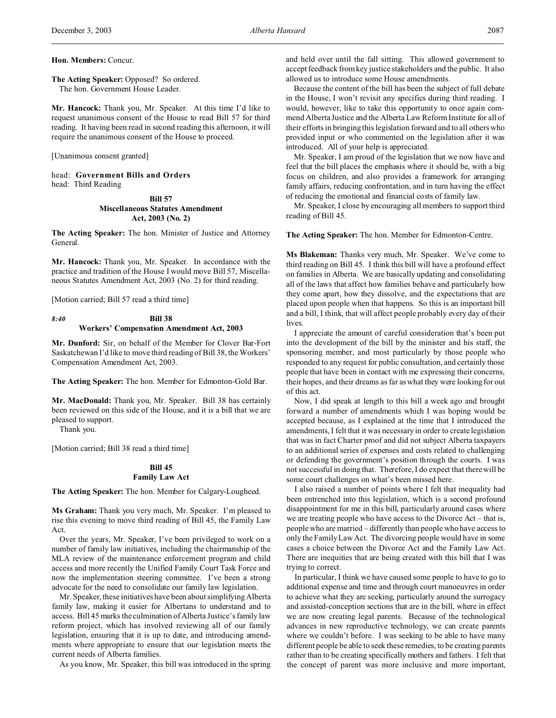### **Hon. Members:** Concur.

### **The Acting Speaker:** Opposed? So ordered. The hon. Government House Leader.

**Mr. Hancock:** Thank you, Mr. Speaker. At this time I'd like to request unanimous consent of the House to read Bill 57 for third reading. It having been read in second reading this afternoon, it will require the unanimous consent of the House to proceed.

[Unanimous consent granted]

head: **Government Bills and Orders** head: Third Reading

## **Bill 57 Miscellaneous Statutes Amendment Act, 2003 (No. 2)**

**The Acting Speaker:** The hon. Minister of Justice and Attorney General.

**Mr. Hancock:** Thank you, Mr. Speaker. In accordance with the practice and tradition of the House I would move Bill 57, Miscellaneous Statutes Amendment Act, 2003 (No. 2) for third reading.

[Motion carried; Bill 57 read a third time]

### *8:40* **Bill 38 Workers' Compensation Amendment Act, 2003**

**Mr. Dunford:** Sir, on behalf of the Member for Clover Bar-Fort Saskatchewan I'd like to move third reading of Bill 38, the Workers' Compensation Amendment Act, 2003.

**The Acting Speaker:** The hon. Member for Edmonton-Gold Bar.

**Mr. MacDonald:** Thank you, Mr. Speaker. Bill 38 has certainly been reviewed on this side of the House, and it is a bill that we are pleased to support.

Thank you.

[Motion carried; Bill 38 read a third time]

### **Bill 45 Family Law Act**

**The Acting Speaker:** The hon. Member for Calgary-Lougheed.

**Ms Graham:** Thank you very much, Mr. Speaker. I'm pleased to rise this evening to move third reading of Bill 45, the Family Law Act.

Over the years, Mr. Speaker, I've been privileged to work on a number of family law initiatives, including the chairmanship of the MLA review of the maintenance enforcement program and child access and more recently the Unified Family Court Task Force and now the implementation steering committee. I've been a strong advocate for the need to consolidate our family law legislation.

Mr. Speaker, these initiatives have been about simplifying Alberta family law, making it easier for Albertans to understand and to access. Bill 45 marks the culmination of Alberta Justice's family law reform project, which has involved reviewing all of our family legislation, ensuring that it is up to date, and introducing amendments where appropriate to ensure that our legislation meets the current needs of Alberta families.

As you know, Mr. Speaker, this bill was introduced in the spring

and held over until the fall sitting. This allowed government to accept feedback from key justice stakeholders and the public. It also allowed us to introduce some House amendments.

Because the content of the bill has been the subject of full debate in the House, I won't revisit any specifics during third reading. I would, however, like to take this opportunity to once again commend Alberta Justice and the Alberta Law Reform Institute for all of their efforts in bringing this legislation forward and to all others who provided input or who commented on the legislation after it was introduced. All of your help is appreciated.

Mr. Speaker, I am proud of the legislation that we now have and feel that the bill places the emphasis where it should be, with a big focus on children, and also provides a framework for arranging family affairs, reducing confrontation, and in turn having the effect of reducing the emotional and financial costs of family law.

Mr. Speaker, I close by encouraging all members to support third reading of Bill 45.

**The Acting Speaker:** The hon. Member for Edmonton-Centre.

**Ms Blakeman:** Thanks very much, Mr. Speaker. We've come to third reading on Bill 45. I think this bill will have a profound effect on families in Alberta. We are basically updating and consolidating all of the laws that affect how families behave and particularly how they come apart, how they dissolve, and the expectations that are placed upon people when that happens. So this is an important bill and a bill, I think, that will affect people probably every day of their lives.

I appreciate the amount of careful consideration that's been put into the development of the bill by the minister and his staff, the sponsoring member, and most particularly by those people who responded to any request for public consultation, and certainly those people that have been in contact with me expressing their concerns, their hopes, and their dreams as far as what they were looking for out of this act.

Now, I did speak at length to this bill a week ago and brought forward a number of amendments which I was hoping would be accepted because, as I explained at the time that I introduced the amendments, I felt that it was necessary in order to create legislation that was in fact Charter proof and did not subject Alberta taxpayers to an additional series of expenses and costs related to challenging or defending the government's position through the courts. I was not successful in doing that. Therefore, I do expect that there will be some court challenges on what's been missed here.

I also raised a number of points where I felt that inequality had been entrenched into this legislation, which is a second profound disappointment for me in this bill, particularly around cases where we are treating people who have access to the Divorce Act – that is, people who are married – differently than people who have access to only the Family Law Act. The divorcing people would have in some cases a choice between the Divorce Act and the Family Law Act. There are inequities that are being created with this bill that I was trying to correct.

In particular, I think we have caused some people to have to go to additional expense and time and through court manoeuvres in order to achieve what they are seeking, particularly around the surrogacy and assisted-conception sections that are in the bill, where in effect we are now creating legal parents. Because of the technological advances in new reproductive technology, we can create parents where we couldn't before. I was seeking to be able to have many different people be able to seek these remedies, to be creating parents rather than to be creating specifically mothers and fathers. I felt that the concept of parent was more inclusive and more important,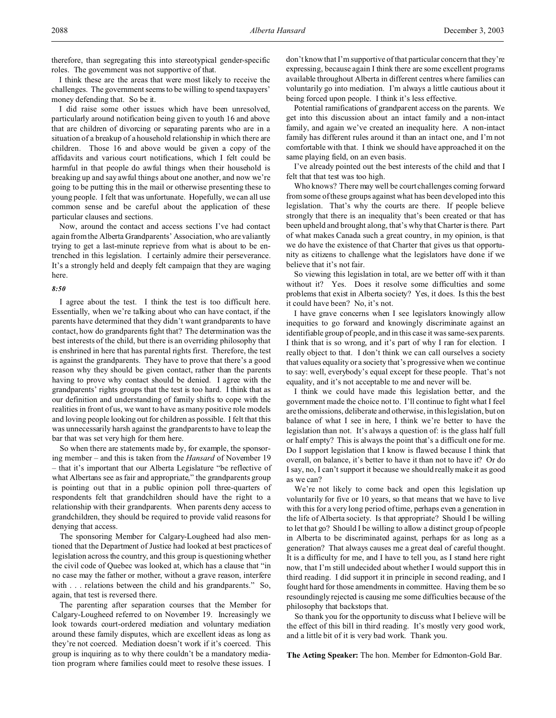therefore, than segregating this into stereotypical gender-specific roles. The government was not supportive of that.

I think these are the areas that were most likely to receive the challenges. The government seems to be willing to spend taxpayers' money defending that. So be it.

I did raise some other issues which have been unresolved, particularly around notification being given to youth 16 and above that are children of divorcing or separating parents who are in a situation of a breakup of a household relationship in which there are children. Those 16 and above would be given a copy of the affidavits and various court notifications, which I felt could be harmful in that people do awful things when their household is breaking up and say awful things about one another, and now we're going to be putting this in the mail or otherwise presenting these to young people. I felt that was unfortunate. Hopefully, we can all use common sense and be careful about the application of these particular clauses and sections.

Now, around the contact and access sections I've had contact again from the Alberta Grandparents' Association, who are valiantly trying to get a last-minute reprieve from what is about to be entrenched in this legislation. I certainly admire their perseverance. It's a strongly held and deeply felt campaign that they are waging here.

#### *8:50*

I agree about the test. I think the test is too difficult here. Essentially, when we're talking about who can have contact, if the parents have determined that they didn't want grandparents to have contact, how do grandparents fight that? The determination was the best interests of the child, but there is an overriding philosophy that is enshrined in here that has parental rights first. Therefore, the test is against the grandparents. They have to prove that there's a good reason why they should be given contact, rather than the parents having to prove why contact should be denied. I agree with the grandparents' rights groups that the test is too hard. I think that as our definition and understanding of family shifts to cope with the realities in front of us, we want to have as many positive role models and loving people looking out for children as possible. I felt that this was unnecessarily harsh against the grandparents to have to leap the bar that was set very high for them here.

So when there are statements made by, for example, the sponsoring member – and this is taken from the *Hansard* of November 19 – that it's important that our Alberta Legislature "be reflective of what Albertans see as fair and appropriate," the grandparents group is pointing out that in a public opinion poll three-quarters of respondents felt that grandchildren should have the right to a relationship with their grandparents. When parents deny access to grandchildren, they should be required to provide valid reasons for denying that access.

The sponsoring Member for Calgary-Lougheed had also mentioned that the Department of Justice had looked at best practices of legislation across the country, and this group is questioning whether the civil code of Quebec was looked at, which has a clause that "in no case may the father or mother, without a grave reason, interfere with . . . relations between the child and his grandparents." So, again, that test is reversed there.

The parenting after separation courses that the Member for Calgary-Lougheed referred to on November 19. Increasingly we look towards court-ordered mediation and voluntary mediation around these family disputes, which are excellent ideas as long as they're not coerced. Mediation doesn't work if it's coerced. This group is inquiring as to why there couldn't be a mandatory mediation program where families could meet to resolve these issues. I don't know that I'm supportive of that particular concern that they're expressing, because again I think there are some excellent programs available throughout Alberta in different centres where families can voluntarily go into mediation. I'm always a little cautious about it being forced upon people. I think it's less effective.

Potential ramifications of grandparent access on the parents. We get into this discussion about an intact family and a non-intact family, and again we've created an inequality here. A non-intact family has different rules around it than an intact one, and I'm not comfortable with that. I think we should have approached it on the same playing field, on an even basis.

I've already pointed out the best interests of the child and that I felt that that test was too high.

Who knows? There may well be court challenges coming forward from some of these groups against what has been developed into this legislation. That's why the courts are there. If people believe strongly that there is an inequality that's been created or that has been upheld and brought along, that's why that Charter is there. Part of what makes Canada such a great country, in my opinion, is that we do have the existence of that Charter that gives us that opportunity as citizens to challenge what the legislators have done if we believe that it's not fair.

So viewing this legislation in total, are we better off with it than without it? Yes. Does it resolve some difficulties and some problems that exist in Alberta society? Yes, it does. Is this the best it could have been? No, it's not.

I have grave concerns when I see legislators knowingly allow inequities to go forward and knowingly discriminate against an identifiable group of people, and in this case it was same-sex parents. I think that is so wrong, and it's part of why I ran for election. I really object to that. I don't think we can call ourselves a society that values equality or a society that's progressive when we continue to say: well, everybody's equal except for these people. That's not equality, and it's not acceptable to me and never will be.

I think we could have made this legislation better, and the government made the choice not to. I'll continue to fight what I feel are the omissions, deliberate and otherwise, in this legislation, but on balance of what I see in here, I think we're better to have the legislation than not. It's always a question of: is the glass half full or half empty? This is always the point that's a difficult one for me. Do I support legislation that I know is flawed because I think that overall, on balance, it's better to have it than not to have it? Or do I say, no, I can't support it because we should really make it as good as we can?

We're not likely to come back and open this legislation up voluntarily for five or 10 years, so that means that we have to live with this for a very long period of time, perhaps even a generation in the life of Alberta society. Is that appropriate? Should I be willing to let that go? Should I be willing to allow a distinct group of people in Alberta to be discriminated against, perhaps for as long as a generation? That always causes me a great deal of careful thought. It is a difficulty for me, and I have to tell you, as I stand here right now, that I'm still undecided about whether I would support this in third reading. I did support it in principle in second reading, and I fought hard for those amendments in committee. Having them be so resoundingly rejected is causing me some difficulties because of the philosophy that backstops that.

So thank you for the opportunity to discuss what I believe will be the effect of this bill in third reading. It's mostly very good work, and a little bit of it is very bad work. Thank you.

**The Acting Speaker:** The hon. Member for Edmonton-Gold Bar.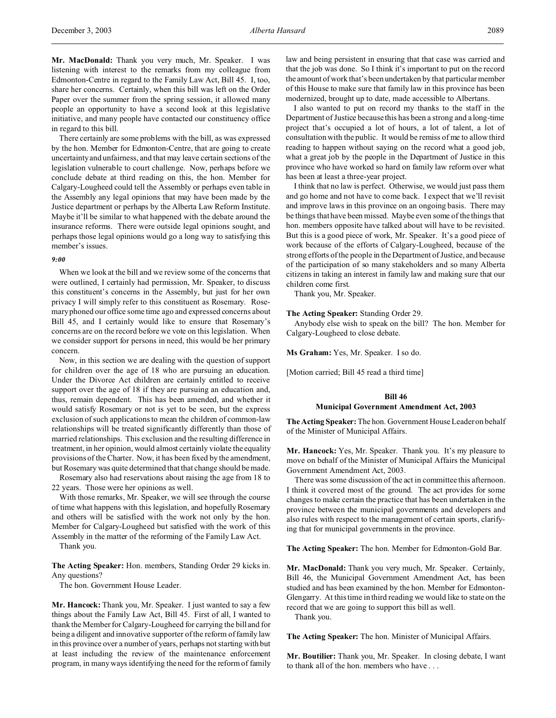**Mr. MacDonald:** Thank you very much, Mr. Speaker. I was listening with interest to the remarks from my colleague from Edmonton-Centre in regard to the Family Law Act, Bill 45. I, too, share her concerns. Certainly, when this bill was left on the Order Paper over the summer from the spring session, it allowed many people an opportunity to have a second look at this legislative initiative, and many people have contacted our constituency office in regard to this bill.

There certainly are some problems with the bill, as was expressed by the hon. Member for Edmonton-Centre, that are going to create uncertainty and unfairness, and that may leave certain sections of the legislation vulnerable to court challenge. Now, perhaps before we conclude debate at third reading on this, the hon. Member for Calgary-Lougheed could tell the Assembly or perhaps even table in the Assembly any legal opinions that may have been made by the Justice department or perhaps by the Alberta Law Reform Institute. Maybe it'll be similar to what happened with the debate around the insurance reforms. There were outside legal opinions sought, and perhaps those legal opinions would go a long way to satisfying this member's issues.

#### *9:00*

When we look at the bill and we review some of the concerns that were outlined, I certainly had permission, Mr. Speaker, to discuss this constituent's concerns in the Assembly, but just for her own privacy I will simply refer to this constituent as Rosemary. Rosemary phoned our office some time ago and expressed concerns about Bill 45, and I certainly would like to ensure that Rosemary's concerns are on the record before we vote on this legislation. When we consider support for persons in need, this would be her primary concern.

Now, in this section we are dealing with the question of support for children over the age of 18 who are pursuing an education. Under the Divorce Act children are certainly entitled to receive support over the age of 18 if they are pursuing an education and, thus, remain dependent. This has been amended, and whether it would satisfy Rosemary or not is yet to be seen, but the express exclusion of such applications to mean the children of common-law relationships will be treated significantly differently than those of married relationships. This exclusion and the resulting difference in treatment, in her opinion, would almost certainly violate the equality provisions of the Charter. Now, it has been fixed by the amendment, but Rosemary was quite determined that that change should be made.

Rosemary also had reservations about raising the age from 18 to 22 years. Those were her opinions as well.

With those remarks, Mr. Speaker, we will see through the course of time what happens with this legislation, and hopefully Rosemary and others will be satisfied with the work not only by the hon. Member for Calgary-Lougheed but satisfied with the work of this Assembly in the matter of the reforming of the Family Law Act. Thank you.

**The Acting Speaker:** Hon. members, Standing Order 29 kicks in. Any questions?

The hon. Government House Leader.

**Mr. Hancock:** Thank you, Mr. Speaker. I just wanted to say a few things about the Family Law Act, Bill 45. First of all, I wanted to thank the Member for Calgary-Lougheed for carrying the bill and for being a diligent and innovative supporter of the reform of family law in this province over a number of years, perhaps not starting with but at least including the review of the maintenance enforcement program, in many ways identifying the need for the reform of family law and being persistent in ensuring that that case was carried and that the job was done. So I think it's important to put on the record the amount of work that's been undertaken by that particular member of this House to make sure that family law in this province has been modernized, brought up to date, made accessible to Albertans.

I also wanted to put on record my thanks to the staff in the Department of Justice because this has been a strong and a long-time project that's occupied a lot of hours, a lot of talent, a lot of consultation with the public. It would be remiss of me to allow third reading to happen without saying on the record what a good job, what a great job by the people in the Department of Justice in this province who have worked so hard on family law reform over what has been at least a three-year project.

I think that no law is perfect. Otherwise, we would just pass them and go home and not have to come back. I expect that we'll revisit and improve laws in this province on an ongoing basis. There may be things that have been missed. Maybe even some of the things that hon. members opposite have talked about will have to be revisited. But this is a good piece of work, Mr. Speaker. It's a good piece of work because of the efforts of Calgary-Lougheed, because of the strong efforts of the people in the Department of Justice, and because of the participation of so many stakeholders and so many Alberta citizens in taking an interest in family law and making sure that our children come first.

Thank you, Mr. Speaker.

#### **The Acting Speaker:** Standing Order 29.

Anybody else wish to speak on the bill? The hon. Member for Calgary-Lougheed to close debate.

**Ms Graham:** Yes, Mr. Speaker. I so do.

[Motion carried; Bill 45 read a third time]

### **Bill 46 Municipal Government Amendment Act, 2003**

**The Acting Speaker:** The hon. Government House Leader on behalf of the Minister of Municipal Affairs.

**Mr. Hancock:** Yes, Mr. Speaker. Thank you. It's my pleasure to move on behalf of the Minister of Municipal Affairs the Municipal Government Amendment Act, 2003.

There was some discussion of the act in committee this afternoon. I think it covered most of the ground. The act provides for some changes to make certain the practice that has been undertaken in the province between the municipal governments and developers and also rules with respect to the management of certain sports, clarifying that for municipal governments in the province.

**The Acting Speaker:** The hon. Member for Edmonton-Gold Bar.

**Mr. MacDonald:** Thank you very much, Mr. Speaker. Certainly, Bill 46, the Municipal Government Amendment Act, has been studied and has been examined by the hon. Member for Edmonton-Glengarry. At this time in third reading we would like to state on the record that we are going to support this bill as well.

Thank you.

**The Acting Speaker:** The hon. Minister of Municipal Affairs.

**Mr. Boutilier:** Thank you, Mr. Speaker. In closing debate, I want to thank all of the hon. members who have . . .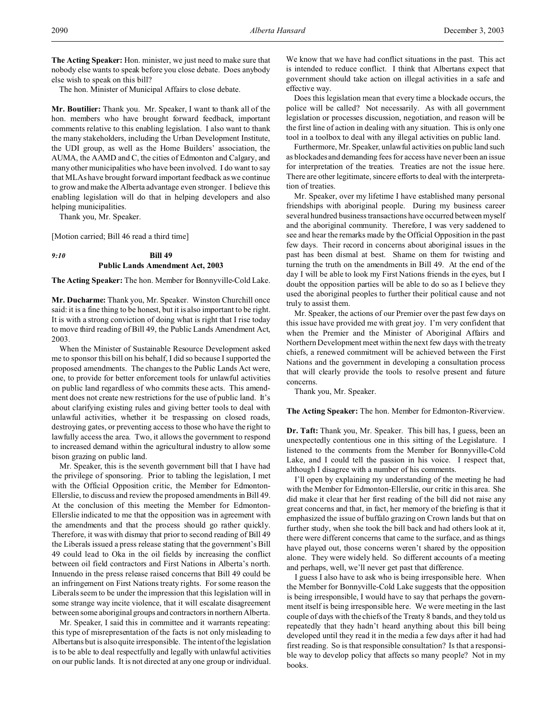**The Acting Speaker:** Hon. minister, we just need to make sure that nobody else wants to speak before you close debate. Does anybody else wish to speak on this bill?

The hon. Minister of Municipal Affairs to close debate.

**Mr. Boutilier:** Thank you. Mr. Speaker, I want to thank all of the hon. members who have brought forward feedback, important comments relative to this enabling legislation. I also want to thank the many stakeholders, including the Urban Development Institute, the UDI group, as well as the Home Builders' association, the AUMA, the AAMD and C, the cities of Edmonton and Calgary, and many other municipalities who have been involved. I do want to say that MLAs have brought forward important feedback as we continue to grow and make the Alberta advantage even stronger. I believe this enabling legislation will do that in helping developers and also helping municipalities.

Thank you, Mr. Speaker.

[Motion carried; Bill 46 read a third time]

# *9:10* **Bill 49 Public Lands Amendment Act, 2003**

**The Acting Speaker:** The hon. Member for Bonnyville-Cold Lake.

**Mr. Ducharme:** Thank you, Mr. Speaker. Winston Churchill once said: it is a fine thing to be honest, but it is also important to be right. It is with a strong conviction of doing what is right that I rise today to move third reading of Bill 49, the Public Lands Amendment Act, 2003.

When the Minister of Sustainable Resource Development asked me to sponsor this bill on his behalf, I did so because I supported the proposed amendments. The changes to the Public Lands Act were, one, to provide for better enforcement tools for unlawful activities on public land regardless of who commits these acts. This amendment does not create new restrictions for the use of public land. It's about clarifying existing rules and giving better tools to deal with unlawful activities, whether it be trespassing on closed roads, destroying gates, or preventing access to those who have the right to lawfully access the area. Two, it allows the government to respond to increased demand within the agricultural industry to allow some bison grazing on public land.

Mr. Speaker, this is the seventh government bill that I have had the privilege of sponsoring. Prior to tabling the legislation, I met with the Official Opposition critic, the Member for Edmonton-Ellerslie, to discuss and review the proposed amendments in Bill 49. At the conclusion of this meeting the Member for Edmonton-Ellerslie indicated to me that the opposition was in agreement with the amendments and that the process should go rather quickly. Therefore, it was with dismay that prior to second reading of Bill 49 the Liberals issued a press release stating that the government's Bill 49 could lead to Oka in the oil fields by increasing the conflict between oil field contractors and First Nations in Alberta's north. Innuendo in the press release raised concerns that Bill 49 could be an infringement on First Nations treaty rights. For some reason the Liberals seem to be under the impression that this legislation will in some strange way incite violence, that it will escalate disagreement between some aboriginal groups and contractors in northern Alberta.

Mr. Speaker, I said this in committee and it warrants repeating: this type of misrepresentation of the facts is not only misleading to Albertans but is also quite irresponsible. The intent of the legislation is to be able to deal respectfully and legally with unlawful activities on our public lands. It is not directed at any one group or individual.

We know that we have had conflict situations in the past. This act is intended to reduce conflict. I think that Albertans expect that government should take action on illegal activities in a safe and effective way.

Does this legislation mean that every time a blockade occurs, the police will be called? Not necessarily. As with all government legislation or processes discussion, negotiation, and reason will be the first line of action in dealing with any situation. This is only one tool in a toolbox to deal with any illegal activities on public land.

Furthermore, Mr. Speaker, unlawful activities on public land such as blockades and demanding fees for access have never been an issue for interpretation of the treaties. Treaties are not the issue here. There are other legitimate, sincere efforts to deal with the interpretation of treaties.

Mr. Speaker, over my lifetime I have established many personal friendships with aboriginal people. During my business career several hundred business transactions have occurred between myself and the aboriginal community. Therefore, I was very saddened to see and hear the remarks made by the Official Opposition in the past few days. Their record in concerns about aboriginal issues in the past has been dismal at best. Shame on them for twisting and turning the truth on the amendments in Bill 49. At the end of the day I will be able to look my First Nations friends in the eyes, but I doubt the opposition parties will be able to do so as I believe they used the aboriginal peoples to further their political cause and not truly to assist them.

Mr. Speaker, the actions of our Premier over the past few days on this issue have provided me with great joy. I'm very confident that when the Premier and the Minister of Aboriginal Affairs and Northern Development meet within the next few days with the treaty chiefs, a renewed commitment will be achieved between the First Nations and the government in developing a consultation process that will clearly provide the tools to resolve present and future concerns.

Thank you, Mr. Speaker.

### **The Acting Speaker:** The hon. Member for Edmonton-Riverview.

**Dr. Taft:** Thank you, Mr. Speaker. This bill has, I guess, been an unexpectedly contentious one in this sitting of the Legislature. I listened to the comments from the Member for Bonnyville-Cold Lake, and I could tell the passion in his voice. I respect that, although I disagree with a number of his comments.

I'll open by explaining my understanding of the meeting he had with the Member for Edmonton-Ellerslie, our critic in this area. She did make it clear that her first reading of the bill did not raise any great concerns and that, in fact, her memory of the briefing is that it emphasized the issue of buffalo grazing on Crown lands but that on further study, when she took the bill back and had others look at it, there were different concerns that came to the surface, and as things have played out, those concerns weren't shared by the opposition alone. They were widely held. So different accounts of a meeting and perhaps, well, we'll never get past that difference.

I guess I also have to ask who is being irresponsible here. When the Member for Bonnyville-Cold Lake suggests that the opposition is being irresponsible, I would have to say that perhaps the government itself is being irresponsible here. We were meeting in the last couple of days with the chiefs of the Treaty 8 bands, and they told us repeatedly that they hadn't heard anything about this bill being developed until they read it in the media a few days after it had had first reading. So is that responsible consultation? Is that a responsible way to develop policy that affects so many people? Not in my books.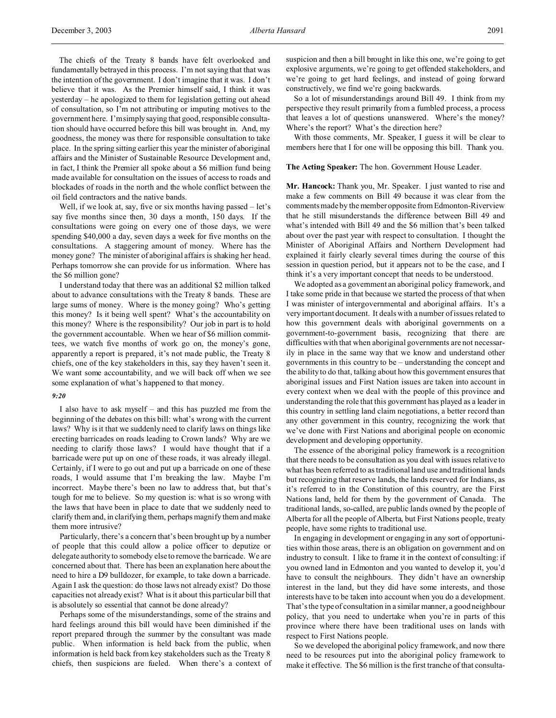The chiefs of the Treaty 8 bands have felt overlooked and fundamentally betrayed in this process. I'm not saying that that was the intention of the government. I don't imagine that it was. I don't believe that it was. As the Premier himself said, I think it was yesterday – he apologized to them for legislation getting out ahead of consultation, so I'm not attributing or imputing motives to the government here. I'm simplysaying that good, responsible consultation should have occurred before this bill was brought in. And, my goodness, the money was there for responsible consultation to take place. In the spring sitting earlier this year the minister of aboriginal affairs and the Minister of Sustainable Resource Development and, in fact, I think the Premier all spoke about a \$6 million fund being made available for consultation on the issues of access to roads and blockades of roads in the north and the whole conflict between the oil field contractors and the native bands.

Well, if we look at, say, five or six months having passed – let's say five months since then, 30 days a month, 150 days. If the consultations were going on every one of those days, we were spending \$40,000 a day, seven days a week for five months on the consultations. A staggering amount of money. Where has the money gone? The minister of aboriginal affairs is shaking her head. Perhaps tomorrow she can provide for us information. Where has the \$6 million gone?

I understand today that there was an additional \$2 million talked about to advance consultations with the Treaty 8 bands. These are large sums of money. Where is the money going? Who's getting this money? Is it being well spent? What's the accountability on this money? Where is the responsibility? Our job in part is to hold the government accountable. When we hear of \$6 million committees, we watch five months of work go on, the money's gone, apparently a report is prepared, it's not made public, the Treaty 8 chiefs, one of the key stakeholders in this, say they haven't seen it. We want some accountability, and we will back off when we see some explanation of what's happened to that money.

#### *9:20*

I also have to ask myself – and this has puzzled me from the beginning of the debates on this bill: what's wrong with the current laws? Why is it that we suddenly need to clarify laws on things like erecting barricades on roads leading to Crown lands? Why are we needing to clarify those laws? I would have thought that if a barricade were put up on one of these roads, it was already illegal. Certainly, if I were to go out and put up a barricade on one of these roads, I would assume that I'm breaking the law. Maybe I'm incorrect. Maybe there's been no law to address that, but that's tough for me to believe. So my question is: what is so wrong with the laws that have been in place to date that we suddenly need to clarify them and, in clarifying them, perhaps magnify them and make them more intrusive?

Particularly, there's a concern that's been brought up by a number of people that this could allow a police officer to deputize or delegate authority to somebody else to remove the barricade. We are concerned about that. There has been an explanation here about the need to hire a D9 bulldozer, for example, to take down a barricade. Again I ask the question: do those laws not already exist? Do those capacities not already exist? What is it about this particular bill that is absolutely so essential that cannot be done already?

Perhaps some of the misunderstandings, some of the strains and hard feelings around this bill would have been diminished if the report prepared through the summer by the consultant was made public. When information is held back from the public, when information is held back from key stakeholders such as the Treaty 8 chiefs, then suspicions are fueled. When there's a context of suspicion and then a bill brought in like this one, we're going to get explosive arguments, we're going to get offended stakeholders, and we're going to get hard feelings, and instead of going forward constructively, we find we're going backwards.

So a lot of misunderstandings around Bill 49. I think from my perspective they result primarily from a fumbled process, a process that leaves a lot of questions unanswered. Where's the money? Where's the report? What's the direction here?

With those comments, Mr. Speaker, I guess it will be clear to members here that I for one will be opposing this bill. Thank you.

#### **The Acting Speaker:** The hon. Government House Leader.

**Mr. Hancock:** Thank you, Mr. Speaker. I just wanted to rise and make a few comments on Bill 49 because it was clear from the comments made by the member opposite from Edmonton-Riverview that he still misunderstands the difference between Bill 49 and what's intended with Bill 49 and the \$6 million that's been talked about over the past year with respect to consultation. I thought the Minister of Aboriginal Affairs and Northern Development had explained it fairly clearly several times during the course of this session in question period, but it appears not to be the case, and I think it's a very important concept that needs to be understood.

We adopted as a government an aboriginal policy framework, and I take some pride in that because we started the process of that when I was minister of intergovernmental and aboriginal affairs. It's a very important document. It deals with a number of issues related to how this government deals with aboriginal governments on a government-to-government basis, recognizing that there are difficulties with that when aboriginal governments are not necessarily in place in the same way that we know and understand other governments in this country to be – understanding the concept and the ability to do that, talking about how this government ensures that aboriginal issues and First Nation issues are taken into account in every context when we deal with the people of this province and understanding the role that this government has played as a leader in this country in settling land claim negotiations, a better record than any other government in this country, recognizing the work that we've done with First Nations and aboriginal people on economic development and developing opportunity.

The essence of the aboriginal policy framework is a recognition that there needs to be consultation as you deal with issues relative to what has been referred to as traditional land use and traditional lands but recognizing that reserve lands, the lands reserved for Indians, as it's referred to in the Constitution of this country, are the First Nations land, held for them by the government of Canada. The traditional lands, so-called, are public lands owned by the people of Alberta for all the people of Alberta, but First Nations people, treaty people, have some rights to traditional use.

In engaging in development or engaging in any sort of opportunities within those areas, there is an obligation on government and on industry to consult. I like to frame it in the context of consulting: if you owned land in Edmonton and you wanted to develop it, you'd have to consult the neighbours. They didn't have an ownership interest in the land, but they did have some interests, and those interests have to be taken into account when you do a development. That's the type of consultation in a similar manner, a good neighbour policy, that you need to undertake when you're in parts of this province where there have been traditional uses on lands with respect to First Nations people.

So we developed the aboriginal policy framework, and now there need to be resources put into the aboriginal policy framework to make it effective. The \$6 million is the first tranche of that consulta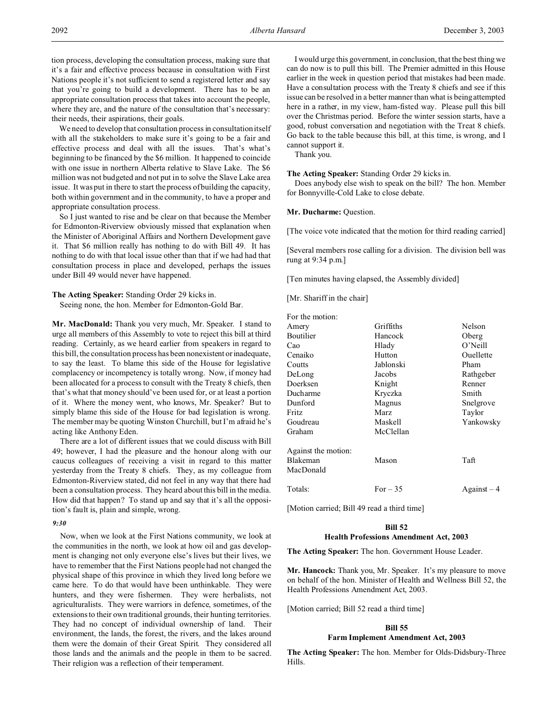tion process, developing the consultation process, making sure that it's a fair and effective process because in consultation with First Nations people it's not sufficient to send a registered letter and say that you're going to build a development. There has to be an appropriate consultation process that takes into account the people, where they are, and the nature of the consultation that's necessary: their needs, their aspirations, their goals.

We need to develop that consultation process in consultation itself with all the stakeholders to make sure it's going to be a fair and effective process and deal with all the issues. That's what's beginning to be financed by the \$6 million. It happened to coincide with one issue in northern Alberta relative to Slave Lake. The \$6 million was not budgeted and not put in to solve the Slave Lake area issue. It was put in there to start the process of building the capacity, both within government and in the community, to have a proper and appropriate consultation process.

So I just wanted to rise and be clear on that because the Member for Edmonton-Riverview obviously missed that explanation when the Minister of Aboriginal Affairs and Northern Development gave it. That \$6 million really has nothing to do with Bill 49. It has nothing to do with that local issue other than that if we had had that consultation process in place and developed, perhaps the issues under Bill 49 would never have happened.

### **The Acting Speaker:** Standing Order 29 kicks in.

Seeing none, the hon. Member for Edmonton-Gold Bar.

**Mr. MacDonald:** Thank you very much, Mr. Speaker. I stand to urge all members of this Assembly to vote to reject this bill at third reading. Certainly, as we heard earlier from speakers in regard to this bill, the consultation process has been nonexistent or inadequate, to say the least. To blame this side of the House for legislative complacency or incompetency is totally wrong. Now, if money had been allocated for a process to consult with the Treaty 8 chiefs, then that's what that money should've been used for, or at least a portion of it. Where the money went, who knows, Mr. Speaker? But to simply blame this side of the House for bad legislation is wrong. The member may be quoting Winston Churchill, but I'm afraid he's acting like Anthony Eden.

There are a lot of different issues that we could discuss with Bill 49; however, I had the pleasure and the honour along with our caucus colleagues of receiving a visit in regard to this matter yesterday from the Treaty 8 chiefs. They, as my colleague from Edmonton-Riverview stated, did not feel in any way that there had been a consultation process. They heard about this bill in the media. How did that happen? To stand up and say that it's all the opposition's fault is, plain and simple, wrong.

## *9:30*

Now, when we look at the First Nations community, we look at the communities in the north, we look at how oil and gas development is changing not only everyone else's lives but their lives, we have to remember that the First Nations people had not changed the physical shape of this province in which they lived long before we came here. To do that would have been unthinkable. They were hunters, and they were fishermen. They were herbalists, not agriculturalists. They were warriors in defence, sometimes, of the extensions to their own traditional grounds, their hunting territories. They had no concept of individual ownership of land. Their environment, the lands, the forest, the rivers, and the lakes around them were the domain of their Great Spirit. They considered all those lands and the animals and the people in them to be sacred. Their religion was a reflection of their temperament.

I would urge this government, in conclusion, that the best thing we can do now is to pull this bill. The Premier admitted in this House earlier in the week in question period that mistakes had been made. Have a consultation process with the Treaty 8 chiefs and see if this issue can be resolved in a better manner than what is being attempted here in a rather, in my view, ham-fisted way. Please pull this bill over the Christmas period. Before the winter session starts, have a good, robust conversation and negotiation with the Treat 8 chiefs. Go back to the table because this bill, at this time, is wrong, and I cannot support it.

Thank you.

#### **The Acting Speaker:** Standing Order 29 kicks in.

Does anybody else wish to speak on the bill? The hon. Member for Bonnyville-Cold Lake to close debate.

#### **Mr. Ducharme:** Question.

[The voice vote indicated that the motion for third reading carried]

[Several members rose calling for a division. The division bell was rung at 9:34 p.m.]

[Ten minutes having elapsed, the Assembly divided]

[Mr. Shariff in the chair]

| For the motion:     |           |             |
|---------------------|-----------|-------------|
| Amery               | Griffiths | Nelson      |
| Boutilier           | Hancock   | Oberg       |
| Cao                 | Hlady     | O'Neill     |
| Cenaiko             | Hutton    | Ouellette   |
| Coutts              | Jablonski | Pham        |
| DeLong              | Jacobs    | Rathgeber   |
| Doerksen            | Knight    | Renner      |
| Ducharme            | Kryczka   | Smith       |
| Dunford             | Magnus    | Snelgrove   |
| Fritz               | Marz      | Taylor      |
| Goudreau            | Maskell   | Yankowsky   |
| Graham              | McClellan |             |
| Against the motion: |           |             |
| Blakeman            | Mason     | Taft        |
| MacDonald           |           |             |
| Totals:             | For $-35$ | $Against-4$ |
|                     |           |             |

[Motion carried; Bill 49 read a third time]

#### **Bill 52**

#### **Health Professions Amendment Act, 2003**

**The Acting Speaker:** The hon. Government House Leader.

**Mr. Hancock:** Thank you, Mr. Speaker. It's my pleasure to move on behalf of the hon. Minister of Health and Wellness Bill 52, the Health Professions Amendment Act, 2003.

[Motion carried; Bill 52 read a third time]

#### **Bill 55**

### **Farm Implement Amendment Act, 2003**

**The Acting Speaker:** The hon. Member for Olds-Didsbury-Three Hills.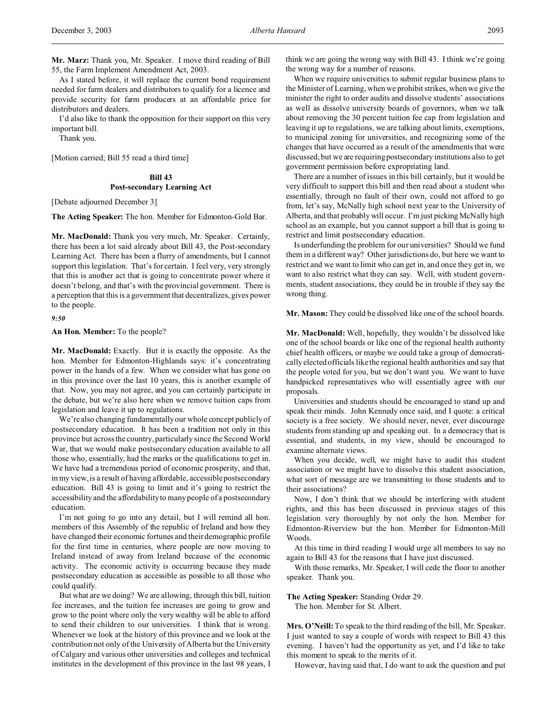As I stated before, it will replace the current bond requirement needed for farm dealers and distributors to qualify for a licence and provide security for farm producers at an affordable price for distributors and dealers.

I'd also like to thank the opposition for their support on this very important bill.

Thank you.

[Motion carried; Bill 55 read a third time]

## **Bill 43 Post-secondary Learning Act**

[Debate adjourned December 3]

**The Acting Speaker:** The hon. Member for Edmonton-Gold Bar.

**Mr. MacDonald:** Thank you very much, Mr. Speaker. Certainly, there has been a lot said already about Bill 43, the Post-secondary Learning Act. There has been a flurry of amendments, but I cannot support this legislation. That's for certain. I feel very, very strongly that this is another act that is going to concentrate power where it doesn't belong, and that's with the provincial government. There is a perception that this is a government that decentralizes, gives power to the people.

*9:50*

**An Hon. Member:** To the people?

**Mr. MacDonald:** Exactly. But it is exactly the opposite. As the hon. Member for Edmonton-Highlands says: it's concentrating power in the hands of a few. When we consider what has gone on in this province over the last 10 years, this is another example of that. Now, you may not agree, and you can certainly participate in the debate, but we're also here when we remove tuition caps from legislation and leave it up to regulations.

We're also changing fundamentally our whole concept publicly of postsecondary education. It has been a tradition not only in this province but across the country, particularly since the Second World War, that we would make postsecondary education available to all those who, essentially, had the marks or the qualifications to get in. We have had a tremendous period of economic prosperity, and that, in my view, is a result of having affordable, accessible postsecondary education. Bill 43 is going to limit and it's going to restrict the accessibility and the affordability to many people of a postsecondary education.

I'm not going to go into any detail, but I will remind all hon. members of this Assembly of the republic of Ireland and how they have changed their economic fortunes and their demographic profile for the first time in centuries, where people are now moving to Ireland instead of away from Ireland because of the economic activity. The economic activity is occurring because they made postsecondary education as accessible as possible to all those who could qualify.

But what are we doing? We are allowing, through this bill, tuition fee increases, and the tuition fee increases are going to grow and grow to the point where only the very wealthy will be able to afford to send their children to our universities. I think that is wrong. Whenever we look at the history of this province and we look at the contribution not only of the University of Alberta but the University of Calgary and various other universities and colleges and technical institutes in the development of this province in the last 98 years, I think we are going the wrong way with Bill 43. I think we're going the wrong way for a number of reasons.

When we require universities to submit regular business plans to the Minister of Learning, when we prohibit strikes, when we give the minister the right to order audits and dissolve students' associations as well as dissolve university boards of governors, when we talk about removing the 30 percent tuition fee cap from legislation and leaving it up to regulations, we are talking about limits, exemptions, to municipal zoning for universities, and recognizing some of the changes that have occurred as a result of the amendments that were discussed, but we are requiring postsecondary institutions also to get government permission before expropriating land.

There are a number of issues in this bill certainly, but it would be very difficult to support this bill and then read about a student who essentially, through no fault of their own, could not afford to go from, let's say, McNally high school next year to the University of Alberta, and that probably will occur. I'm just picking McNally high school as an example, but you cannot support a bill that is going to restrict and limit postsecondary education.

Is underfunding the problem for our universities? Should we fund them in a different way? Other jurisdictions do, but here we want to restrict and we want to limit who can get in, and once they get in, we want to also restrict what they can say. Well, with student governments, student associations, they could be in trouble if they say the wrong thing.

**Mr. Mason:** They could be dissolved like one of the school boards.

**Mr. MacDonald:** Well, hopefully, they wouldn't be dissolved like one of the school boards or like one of the regional health authority chief health officers, or maybe we could take a group of democratically elected officials like the regional health authorities and say that the people voted for you, but we don't want you. We want to have handpicked representatives who will essentially agree with our proposals.

Universities and students should be encouraged to stand up and speak their minds. John Kennedy once said, and I quote: a critical society is a free society. We should never, never, ever discourage students from standing up and speaking out. In a democracy that is essential, and students, in my view, should be encouraged to examine alternate views.

When you decide, well, we might have to audit this student association or we might have to dissolve this student association, what sort of message are we transmitting to those students and to their associations?

Now, I don't think that we should be interfering with student rights, and this has been discussed in previous stages of this legislation very thoroughly by not only the hon. Member for Edmonton-Riverview but the hon. Member for Edmonton-Mill Woods.

At this time in third reading I would urge all members to say no again to Bill 43 for the reasons that I have just discussed.

With those remarks, Mr. Speaker, I will cede the floor to another speaker. Thank you.

**The Acting Speaker:** Standing Order 29. The hon. Member for St. Albert.

**Mrs. O'Neill:**To speak to the third reading of the bill, Mr. Speaker. I just wanted to say a couple of words with respect to Bill 43 this evening. I haven't had the opportunity as yet, and I'd like to take this moment to speak to the merits of it.

However, having said that, I do want to ask the question and put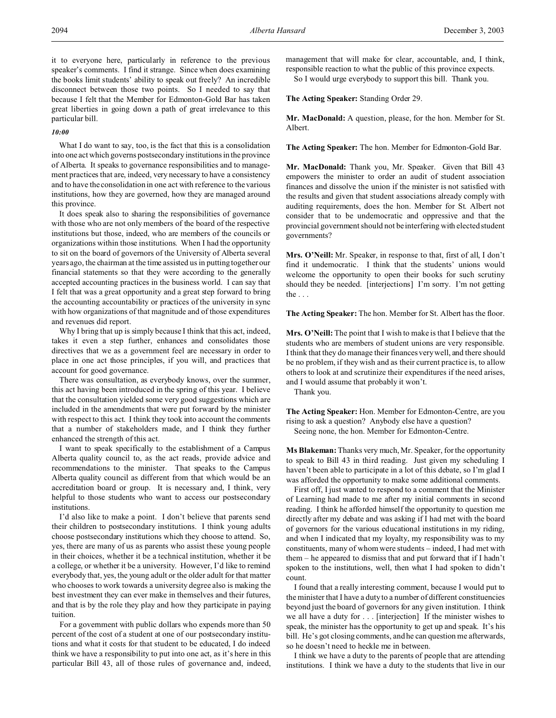it to everyone here, particularly in reference to the previous speaker's comments. I find it strange. Since when does examining the books limit students' ability to speak out freely? An incredible disconnect between those two points. So I needed to say that because I felt that the Member for Edmonton-Gold Bar has taken great liberties in going down a path of great irrelevance to this particular bill.

### *10:00*

What I do want to say, too, is the fact that this is a consolidation into one act which governs postsecondary institutions in the province of Alberta. It speaks to governance responsibilities and to management practices that are, indeed, very necessary to have a consistency and to have the consolidation in one act with reference to the various institutions, how they are governed, how they are managed around this province.

It does speak also to sharing the responsibilities of governance with those who are not only members of the board of the respective institutions but those, indeed, who are members of the councils or organizations within those institutions. When I had the opportunity to sit on the board of governors of the University of Alberta several years ago, the chairman at the time assisted us in putting together our financial statements so that they were according to the generally accepted accounting practices in the business world. I can say that I felt that was a great opportunity and a great step forward to bring the accounting accountability or practices of the university in sync with how organizations of that magnitude and of those expenditures and revenues did report.

Why I bring that up is simply because I think that this act, indeed, takes it even a step further, enhances and consolidates those directives that we as a government feel are necessary in order to place in one act those principles, if you will, and practices that account for good governance.

There was consultation, as everybody knows, over the summer, this act having been introduced in the spring of this year. I believe that the consultation yielded some very good suggestions which are included in the amendments that were put forward by the minister with respect to this act. I think they took into account the comments that a number of stakeholders made, and I think they further enhanced the strength of this act.

I want to speak specifically to the establishment of a Campus Alberta quality council to, as the act reads, provide advice and recommendations to the minister. That speaks to the Campus Alberta quality council as different from that which would be an accreditation board or group. It is necessary and, I think, very helpful to those students who want to access our postsecondary institutions.

I'd also like to make a point. I don't believe that parents send their children to postsecondary institutions. I think young adults choose postsecondary institutions which they choose to attend. So, yes, there are many of us as parents who assist these young people in their choices, whether it be a technical institution, whether it be a college, or whether it be a university. However, I'd like to remind everybody that, yes, the young adult or the older adult for that matter who chooses to work towards a university degree also is making the best investment they can ever make in themselves and their futures, and that is by the role they play and how they participate in paying tuition.

For a government with public dollars who expends more than 50 percent of the cost of a student at one of our postsecondary institutions and what it costs for that student to be educated, I do indeed think we have a responsibility to put into one act, as it's here in this particular Bill 43, all of those rules of governance and, indeed, management that will make for clear, accountable, and, I think, responsible reaction to what the public of this province expects.

So I would urge everybody to support this bill. Thank you.

**The Acting Speaker:** Standing Order 29.

**Mr. MacDonald:** A question, please, for the hon. Member for St. Albert.

**The Acting Speaker:** The hon. Member for Edmonton-Gold Bar.

**Mr. MacDonald:** Thank you, Mr. Speaker. Given that Bill 43 empowers the minister to order an audit of student association finances and dissolve the union if the minister is not satisfied with the results and given that student associations already comply with auditing requirements, does the hon. Member for St. Albert not consider that to be undemocratic and oppressive and that the provincial government should not be interfering with elected student governments?

**Mrs. O'Neill:** Mr. Speaker, in response to that, first of all, I don't find it undemocratic. I think that the students' unions would welcome the opportunity to open their books for such scrutiny should they be needed. [interjections] I'm sorry. I'm not getting the . . .

**The Acting Speaker:** The hon. Member for St. Albert has the floor.

**Mrs. O'Neill:** The point that I wish to make is that I believe that the students who are members of student unions are very responsible. I think that they do manage their finances very well, and there should be no problem, if they wish and as their current practice is, to allow others to look at and scrutinize their expenditures if the need arises, and I would assume that probably it won't.

Thank you.

**The Acting Speaker:** Hon. Member for Edmonton-Centre, are you rising to ask a question? Anybody else have a question? Seeing none, the hon. Member for Edmonton-Centre.

**Ms Blakeman:** Thanks very much, Mr. Speaker, for the opportunity to speak to Bill 43 in third reading. Just given my scheduling I haven't been able to participate in a lot of this debate, so I'm glad I was afforded the opportunity to make some additional comments.

First off, I just wanted to respond to a comment that the Minister of Learning had made to me after my initial comments in second reading. I think he afforded himself the opportunity to question me directly after my debate and was asking if I had met with the board of governors for the various educational institutions in my riding, and when I indicated that my loyalty, my responsibility was to my constituents, many of whom were students – indeed, I had met with them – he appeared to dismiss that and put forward that if I hadn't spoken to the institutions, well, then what I had spoken to didn't count.

I found that a really interesting comment, because I would put to the minister that I have a duty to a number of different constituencies beyond just the board of governors for any given institution. I think we all have a duty for . . . [interjection] If the minister wishes to speak, the minister has the opportunity to get up and speak. It's his bill. He's got closing comments, and he can question me afterwards, so he doesn't need to heckle me in between.

I think we have a duty to the parents of people that are attending institutions. I think we have a duty to the students that live in our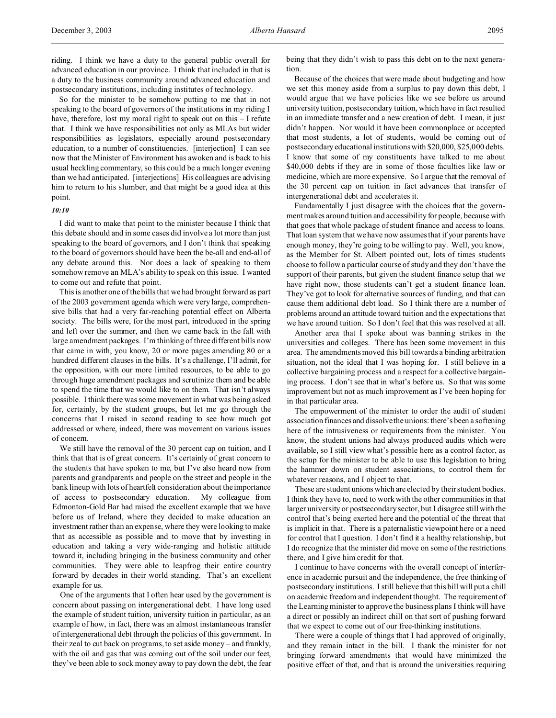riding. I think we have a duty to the general public overall for advanced education in our province. I think that included in that is a duty to the business community around advanced education and postsecondary institutions, including institutes of technology.

So for the minister to be somehow putting to me that in not speaking to the board of governors of the institutions in my riding I have, therefore, lost my moral right to speak out on this - I refute that. I think we have responsibilities not only as MLAs but wider responsibilities as legislators, especially around postsecondary education, to a number of constituencies. [interjection] I can see now that the Minister of Environment has awoken and is back to his usual heckling commentary, so this could be a much longer evening than we had anticipated. [interjections] His colleagues are advising him to return to his slumber, and that might be a good idea at this point.

### *10:10*

I did want to make that point to the minister because I think that this debate should and in some cases did involve a lot more than just speaking to the board of governors, and I don't think that speaking to the board of governors should have been the be-all and end-all of any debate around this. Nor does a lack of speaking to them somehow remove an MLA's ability to speak on this issue. I wanted to come out and refute that point.

This is another one of the bills that we had brought forward as part of the 2003 government agenda which were very large, comprehensive bills that had a very far-reaching potential effect on Alberta society. The bills were, for the most part, introduced in the spring and left over the summer, and then we came back in the fall with large amendment packages. I'm thinking of three different bills now that came in with, you know, 20 or more pages amending 80 or a hundred different clauses in the bills. It's a challenge, I'll admit, for the opposition, with our more limited resources, to be able to go through huge amendment packages and scrutinize them and be able to spend the time that we would like to on them. That isn't always possible. I think there was some movement in what was being asked for, certainly, by the student groups, but let me go through the concerns that I raised in second reading to see how much got addressed or where, indeed, there was movement on various issues of concern.

We still have the removal of the 30 percent cap on tuition, and I think that that is of great concern. It's certainly of great concern to the students that have spoken to me, but I've also heard now from parents and grandparents and people on the street and people in the bank lineup with lots of heartfelt consideration about the importance of access to postsecondary education. My colleague from Edmonton-Gold Bar had raised the excellent example that we have before us of Ireland, where they decided to make education an investment rather than an expense, where they were looking to make that as accessible as possible and to move that by investing in education and taking a very wide-ranging and holistic attitude toward it, including bringing in the business community and other communities. They were able to leapfrog their entire country forward by decades in their world standing. That's an excellent example for us.

One of the arguments that I often hear used by the government is concern about passing on intergenerational debt. I have long used the example of student tuition, university tuition in particular, as an example of how, in fact, there was an almost instantaneous transfer of intergenerational debt through the policies of this government. In their zeal to cut back on programs, to set aside money – and frankly, with the oil and gas that was coming out of the soil under our feet, they've been able to sock money away to pay down the debt, the fear being that they didn't wish to pass this debt on to the next generation.

Because of the choices that were made about budgeting and how we set this money aside from a surplus to pay down this debt, I would argue that we have policies like we see before us around university tuition, postsecondary tuition, which have in fact resulted in an immediate transfer and a new creation of debt. I mean, it just didn't happen. Nor would it have been commonplace or accepted that most students, a lot of students, would be coming out of postsecondary educational institutions with \$20,000, \$25,000 debts. I know that some of my constituents have talked to me about \$40,000 debts if they are in some of those faculties like law or medicine, which are more expensive. So I argue that the removal of the 30 percent cap on tuition in fact advances that transfer of intergenerational debt and accelerates it.

Fundamentally I just disagree with the choices that the government makes around tuition and accessibility for people, because with that goes that whole package of student finance and access to loans. That loan system that we have now assumes that if your parents have enough money, they're going to be willing to pay. Well, you know, as the Member for St. Albert pointed out, lots of times students choose to follow a particular course of study and they don't have the support of their parents, but given the student finance setup that we have right now, those students can't get a student finance loan. They've got to look for alternative sources of funding, and that can cause them additional debt load. So I think there are a number of problems around an attitude toward tuition and the expectations that we have around tuition. So I don't feel that this was resolved at all.

Another area that I spoke about was banning strikes in the universities and colleges. There has been some movement in this area. The amendments moved this bill towards a binding arbitration situation, not the ideal that I was hoping for. I still believe in a collective bargaining process and a respect for a collective bargaining process. I don't see that in what's before us. So that was some improvement but not as much improvement as I've been hoping for in that particular area.

The empowerment of the minister to order the audit of student association finances and dissolve the unions: there's been a softening here of the intrusiveness or requirements from the minister. You know, the student unions had always produced audits which were available, so I still view what's possible here as a control factor, as the setup for the minister to be able to use this legislation to bring the hammer down on student associations, to control them for whatever reasons, and I object to that.

These are student unions which are elected by their student bodies. I think they have to, need to work with the other communities in that larger university or postsecondary sector, but I disagree still with the control that's being exerted here and the potential of the threat that is implicit in that. There is a paternalistic viewpoint here or a need for control that I question. I don't find it a healthy relationship, but I do recognize that the minister did move on some of the restrictions there, and I give him credit for that.

I continue to have concerns with the overall concept of interference in academic pursuit and the independence, the free thinking of postsecondary institutions. I still believe that this bill will put a chill on academic freedom and independent thought. The requirement of the Learning minister to approve the business plans I think will have a direct or possibly an indirect chill on that sort of pushing forward that we expect to come out of our free-thinking institutions.

There were a couple of things that I had approved of originally, and they remain intact in the bill. I thank the minister for not bringing forward amendments that would have minimized the positive effect of that, and that is around the universities requiring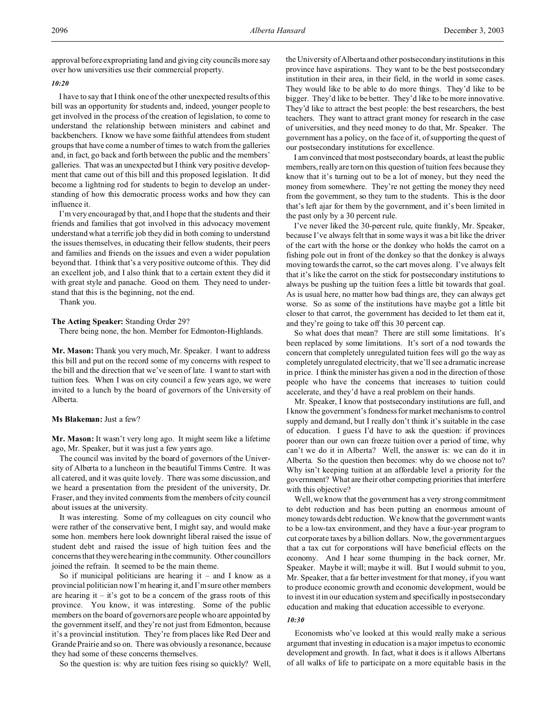approval before expropriating land and giving city councils more say over how universities use their commercial property.

## *10:20*

I have to say that I think one of the other unexpected results of this bill was an opportunity for students and, indeed, younger people to get involved in the process of the creation of legislation, to come to understand the relationship between ministers and cabinet and backbenchers. I know we have some faithful attendees from student groups that have come a number of times to watch from the galleries and, in fact, go back and forth between the public and the members' galleries. That was an unexpected but I think very positive development that came out of this bill and this proposed legislation. It did become a lightning rod for students to begin to develop an understanding of how this democratic process works and how they can influence it.

I'm very encouraged by that, and I hope that the students and their friends and families that got involved in this advocacy movement understand what a terrific job they did in both coming to understand the issues themselves, in educating their fellow students, their peers and families and friends on the issues and even a wider population beyond that. I think that's a very positive outcome of this. They did an excellent job, and I also think that to a certain extent they did it with great style and panache. Good on them. They need to understand that this is the beginning, not the end.

Thank you.

#### **The Acting Speaker:** Standing Order 29?

There being none, the hon. Member for Edmonton-Highlands.

**Mr. Mason:** Thank you very much, Mr. Speaker. I want to address this bill and put on the record some of my concerns with respect to the bill and the direction that we've seen of late. I want to start with tuition fees. When I was on city council a few years ago, we were invited to a lunch by the board of governors of the University of Alberta.

### **Ms Blakeman:** Just a few?

**Mr. Mason:** It wasn't very long ago. It might seem like a lifetime ago, Mr. Speaker, but it was just a few years ago.

The council was invited by the board of governors of the University of Alberta to a luncheon in the beautiful Timms Centre. It was all catered, and it was quite lovely. There was some discussion, and we heard a presentation from the president of the university, Dr. Fraser, and they invited comments from the members of city council about issues at the university.

It was interesting. Some of my colleagues on city council who were rather of the conservative bent, I might say, and would make some hon. members here look downright liberal raised the issue of student debt and raised the issue of high tuition fees and the concerns that they were hearing in the community. Other councillors joined the refrain. It seemed to be the main theme.

So if municipal politicians are hearing it  $-$  and I know as a provincial politician now I'm hearing it, and I'm sure other members are hearing it – it's got to be a concern of the grass roots of this province. You know, it was interesting. Some of the public members on the board of governors are people who are appointed by the government itself, and they're not just from Edmonton, because it's a provincial institution. They're from places like Red Deer and Grande Prairie and so on. There was obviously a resonance, because they had some of these concerns themselves.

So the question is: why are tuition fees rising so quickly? Well,

the University of Alberta and other postsecondary institutions in this province have aspirations. They want to be the best postsecondary institution in their area, in their field, in the world in some cases. They would like to be able to do more things. They'd like to be bigger. They'd like to be better. They'd like to be more innovative. They'd like to attract the best people: the best researchers, the best teachers. They want to attract grant money for research in the case of universities, and they need money to do that, Mr. Speaker. The government has a policy, on the face of it, of supporting the quest of our postsecondary institutions for excellence.

I am convinced that most postsecondary boards, at least the public members, really are torn on this question of tuition fees because they know that it's turning out to be a lot of money, but they need the money from somewhere. They're not getting the money they need from the government, so they turn to the students. This is the door that's left ajar for them by the government, and it's been limited in the past only by a 30 percent rule.

I've never liked the 30-percent rule, quite frankly, Mr. Speaker, because I've always felt that in some ways it was a bit like the driver of the cart with the horse or the donkey who holds the carrot on a fishing pole out in front of the donkey so that the donkey is always moving towards the carrot, so the cart moves along. I've always felt that it's like the carrot on the stick for postsecondary institutions to always be pushing up the tuition fees a little bit towards that goal. As is usual here, no matter how bad things are, they can always get worse. So as some of the institutions have maybe got a little bit closer to that carrot, the government has decided to let them eat it, and they're going to take off this 30 percent cap.

So what does that mean? There are still some limitations. It's been replaced by some limitations. It's sort of a nod towards the concern that completely unregulated tuition fees will go the way as completely unregulated electricity, that we'll see a dramatic increase in price. I think the minister has given a nod in the direction of those people who have the concerns that increases to tuition could accelerate, and they'd have a real problem on their hands.

Mr. Speaker, I know that postsecondary institutions are full, and I know the government's fondness for market mechanisms to control supply and demand, but I really don't think it's suitable in the case of education. I guess I'd have to ask the question: if provinces poorer than our own can freeze tuition over a period of time, why can't we do it in Alberta? Well, the answer is: we can do it in Alberta. So the question then becomes: why do we choose not to? Why isn't keeping tuition at an affordable level a priority for the government? What are their other competing priorities that interfere with this objective?

Well, we know that the government has a very strong commitment to debt reduction and has been putting an enormous amount of money towards debt reduction. We know that the government wants to be a low-tax environment, and they have a four-year program to cut corporate taxes by a billion dollars. Now, the government argues that a tax cut for corporations will have beneficial effects on the economy. And I hear some thumping in the back corner, Mr. Speaker. Maybe it will; maybe it will. But I would submit to you, Mr. Speaker, that a far better investment for that money, if you want to produce economic growth and economic development, would be to invest it in our education system and specifically in postsecondary education and making that education accessible to everyone.

#### *10:30*

Economists who've looked at this would really make a serious argument that investing in education is a major impetus to economic development and growth. In fact, what it does is it allows Albertans of all walks of life to participate on a more equitable basis in the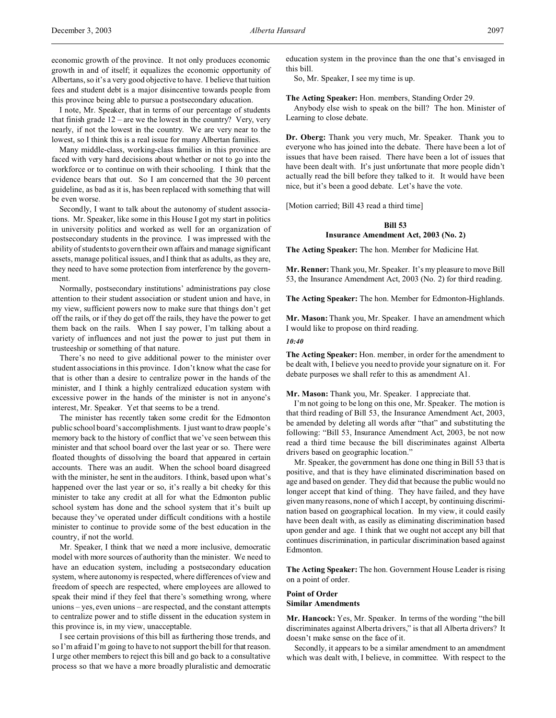economic growth of the province. It not only produces economic growth in and of itself; it equalizes the economic opportunity of Albertans, so it's a very good objective to have. I believe that tuition fees and student debt is a major disincentive towards people from this province being able to pursue a postsecondary education.

I note, Mr. Speaker, that in terms of our percentage of students that finish grade  $12$  – are we the lowest in the country? Very, very nearly, if not the lowest in the country. We are very near to the lowest, so I think this is a real issue for many Albertan families.

Many middle-class, working-class families in this province are faced with very hard decisions about whether or not to go into the workforce or to continue on with their schooling. I think that the evidence bears that out. So I am concerned that the 30 percent guideline, as bad as it is, has been replaced with something that will be even worse.

Secondly, I want to talk about the autonomy of student associations. Mr. Speaker, like some in this House I got my start in politics in university politics and worked as well for an organization of postsecondary students in the province. I was impressed with the ability of students to govern their own affairs and manage significant assets, manage political issues, and I think that as adults, as they are, they need to have some protection from interference by the government.

Normally, postsecondary institutions' administrations pay close attention to their student association or student union and have, in my view, sufficient powers now to make sure that things don't get off the rails, or if they do get off the rails, they have the power to get them back on the rails. When I say power, I'm talking about a variety of influences and not just the power to just put them in trusteeship or something of that nature.

There's no need to give additional power to the minister over student associations in this province. I don't know what the case for that is other than a desire to centralize power in the hands of the minister, and I think a highly centralized education system with excessive power in the hands of the minister is not in anyone's interest, Mr. Speaker. Yet that seems to be a trend.

The minister has recently taken some credit for the Edmonton public school board's accomplishments. I just want to draw people's memory back to the history of conflict that we've seen between this minister and that school board over the last year or so. There were floated thoughts of dissolving the board that appeared in certain accounts. There was an audit. When the school board disagreed with the minister, he sent in the auditors. I think, based upon what's happened over the last year or so, it's really a bit cheeky for this minister to take any credit at all for what the Edmonton public school system has done and the school system that it's built up because they've operated under difficult conditions with a hostile minister to continue to provide some of the best education in the country, if not the world.

Mr. Speaker, I think that we need a more inclusive, democratic model with more sources of authority than the minister. We need to have an education system, including a postsecondary education system, where autonomy is respected, where differences of view and freedom of speech are respected, where employees are allowed to speak their mind if they feel that there's something wrong, where unions – yes, even unions – are respected, and the constant attempts to centralize power and to stifle dissent in the education system in this province is, in my view, unacceptable.

I see certain provisions of this bill as furthering those trends, and so I'm afraid I'm going to have to not support the bill for that reason. I urge other members to reject this bill and go back to a consultative process so that we have a more broadly pluralistic and democratic

education system in the province than the one that's envisaged in this bill.

So, Mr. Speaker, I see my time is up.

**The Acting Speaker:** Hon. members, Standing Order 29.

Anybody else wish to speak on the bill? The hon. Minister of Learning to close debate.

**Dr. Oberg:** Thank you very much, Mr. Speaker. Thank you to everyone who has joined into the debate. There have been a lot of issues that have been raised. There have been a lot of issues that have been dealt with. It's just unfortunate that more people didn't actually read the bill before they talked to it. It would have been nice, but it's been a good debate. Let's have the vote.

[Motion carried; Bill 43 read a third time]

# **Bill 53 Insurance Amendment Act, 2003 (No. 2)**

**The Acting Speaker:** The hon. Member for Medicine Hat.

**Mr. Renner:** Thank you, Mr. Speaker. It's my pleasure to move Bill 53, the Insurance Amendment Act, 2003 (No. 2) for third reading.

**The Acting Speaker:** The hon. Member for Edmonton-Highlands.

**Mr. Mason:** Thank you, Mr. Speaker. I have an amendment which I would like to propose on third reading.

### *10:40*

**The Acting Speaker:** Hon. member, in order for the amendment to be dealt with, I believe you need to provide your signature on it. For debate purposes we shall refer to this as amendment A1.

**Mr. Mason:** Thank you, Mr. Speaker. I appreciate that.

I'm not going to be long on this one, Mr. Speaker. The motion is that third reading of Bill 53, the Insurance Amendment Act, 2003, be amended by deleting all words after "that" and substituting the following: "Bill 53, Insurance Amendment Act, 2003, be not now read a third time because the bill discriminates against Alberta drivers based on geographic location."

Mr. Speaker, the government has done one thing in Bill 53 that is positive, and that is they have eliminated discrimination based on age and based on gender. They did that because the public would no longer accept that kind of thing. They have failed, and they have given many reasons, none of which I accept, by continuing discrimination based on geographical location. In my view, it could easily have been dealt with, as easily as eliminating discrimination based upon gender and age. I think that we ought not accept any bill that continues discrimination, in particular discrimination based against Edmonton.

**The Acting Speaker:** The hon. Government House Leader is rising on a point of order.

## **Point of Order Similar Amendments**

**Mr. Hancock:** Yes, Mr. Speaker. In terms of the wording "the bill discriminates against Alberta drivers," is that all Alberta drivers? It doesn't make sense on the face of it.

Secondly, it appears to be a similar amendment to an amendment which was dealt with, I believe, in committee. With respect to the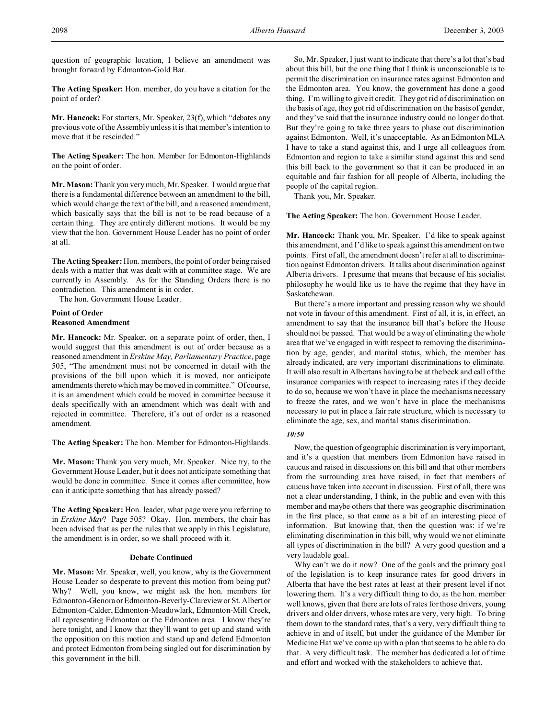question of geographic location, I believe an amendment was brought forward by Edmonton-Gold Bar.

**The Acting Speaker:** Hon. member, do you have a citation for the point of order?

**Mr. Hancock:** For starters, Mr. Speaker, 23(f), which "debates any previous vote of the Assembly unless it is that member's intention to move that it be rescinded."

**The Acting Speaker:** The hon. Member for Edmonton-Highlands on the point of order.

**Mr. Mason:** Thank you very much, Mr. Speaker. I would argue that there is a fundamental difference between an amendment to the bill, which would change the text of the bill, and a reasoned amendment, which basically says that the bill is not to be read because of a certain thing. They are entirely different motions. It would be my view that the hon. Government House Leader has no point of order at all.

**The Acting Speaker:** Hon. members, the point of order being raised deals with a matter that was dealt with at committee stage. We are currently in Assembly. As for the Standing Orders there is no contradiction. This amendment is in order.

The hon. Government House Leader.

## **Point of Order Reasoned Amendment**

**Mr. Hancock:** Mr. Speaker, on a separate point of order, then, I would suggest that this amendment is out of order because as a reasoned amendment in *Erskine May, Parliamentary Practice*, page 505, "The amendment must not be concerned in detail with the provisions of the bill upon which it is moved, nor anticipate amendments thereto which may be moved in committee." Of course, it is an amendment which could be moved in committee because it deals specifically with an amendment which was dealt with and rejected in committee. Therefore, it's out of order as a reasoned amendment.

**The Acting Speaker:** The hon. Member for Edmonton-Highlands.

**Mr. Mason:** Thank you very much, Mr. Speaker. Nice try, to the Government House Leader, but it does not anticipate something that would be done in committee. Since it comes after committee, how can it anticipate something that has already passed?

**The Acting Speaker:** Hon. leader, what page were you referring to in *Erskine May*? Page 505? Okay. Hon. members, the chair has been advised that as per the rules that we apply in this Legislature, the amendment is in order, so we shall proceed with it.

## **Debate Continued**

**Mr. Mason:** Mr. Speaker, well, you know, why is the Government House Leader so desperate to prevent this motion from being put? Why? Well, you know, we might ask the hon. members for Edmonton-Glenora or Edmonton-Beverly-Clareviewor St. Albert or Edmonton-Calder, Edmonton-Meadowlark, Edmonton-Mill Creek, all representing Edmonton or the Edmonton area. I know they're here tonight, and I know that they'll want to get up and stand with the opposition on this motion and stand up and defend Edmonton and protect Edmonton from being singled out for discrimination by this government in the bill.

So, Mr. Speaker, I just want to indicate that there's a lot that's bad about this bill, but the one thing that I think is unconscionable is to permit the discrimination on insurance rates against Edmonton and the Edmonton area. You know, the government has done a good thing. I'm willing to give it credit. They got rid of discrimination on the basis of age, they got rid of discrimination on the basis of gender, and they've said that the insurance industry could no longer do that. But they're going to take three years to phase out discrimination against Edmonton. Well, it's unacceptable. As an Edmonton MLA I have to take a stand against this, and I urge all colleagues from Edmonton and region to take a similar stand against this and send this bill back to the government so that it can be produced in an equitable and fair fashion for all people of Alberta, including the people of the capital region.

Thank you, Mr. Speaker.

**The Acting Speaker:** The hon. Government House Leader.

**Mr. Hancock:** Thank you, Mr. Speaker. I'd like to speak against this amendment, and I'd like to speak against this amendment on two points. First of all, the amendment doesn't refer at all to discrimination against Edmonton drivers. It talks about discrimination against Alberta drivers. I presume that means that because of his socialist philosophy he would like us to have the regime that they have in Saskatchewan.

But there's a more important and pressing reason why we should not vote in favour of this amendment. First of all, it is, in effect, an amendment to say that the insurance bill that's before the House should not be passed. That would be a way of eliminating the whole area that we've engaged in with respect to removing the discrimination by age, gender, and marital status, which, the member has already indicated, are very important discriminations to eliminate. It will also result in Albertans having to be at the beck and call of the insurance companies with respect to increasing rates if they decide to do so, because we won't have in place the mechanisms necessary to freeze the rates, and we won't have in place the mechanisms necessary to put in place a fair rate structure, which is necessary to eliminate the age, sex, and marital status discrimination.

## *10:50*

Now, the question of geographic discrimination is very important, and it's a question that members from Edmonton have raised in caucus and raised in discussions on this bill and that other members from the surrounding area have raised, in fact that members of caucus have taken into account in discussion. First of all, there was not a clear understanding, I think, in the public and even with this member and maybe others that there was geographic discrimination in the first place, so that came as a bit of an interesting piece of information. But knowing that, then the question was: if we're eliminating discrimination in this bill, why would we not eliminate all types of discrimination in the bill? A very good question and a very laudable goal.

Why can't we do it now? One of the goals and the primary goal of the legislation is to keep insurance rates for good drivers in Alberta that have the best rates at least at their present level if not lowering them. It's a very difficult thing to do, as the hon. member well knows, given that there are lots of rates for those drivers, young drivers and older drivers, whose rates are very, very high. To bring them down to the standard rates, that's a very, very difficult thing to achieve in and of itself, but under the guidance of the Member for Medicine Hat we've come up with a plan that seems to be able to do that. A very difficult task. The member has dedicated a lot of time and effort and worked with the stakeholders to achieve that.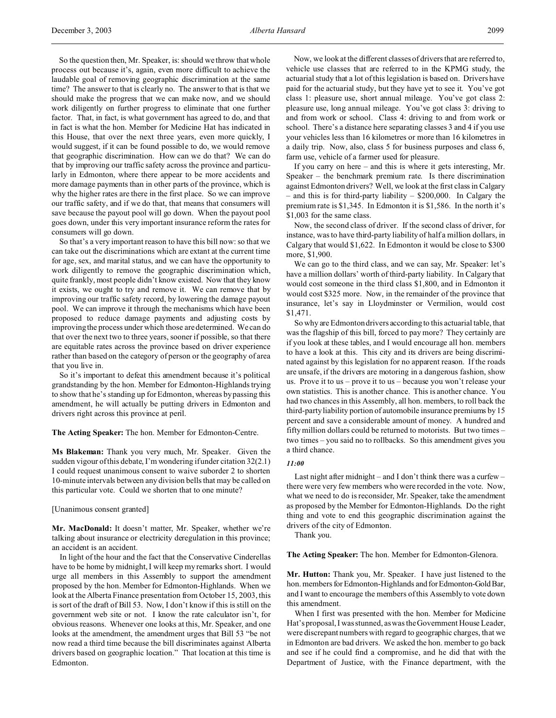So the question then, Mr. Speaker, is: should we throw that whole process out because it's, again, even more difficult to achieve the laudable goal of removing geographic discrimination at the same time? The answer to that is clearly no. The answer to that is that we should make the progress that we can make now, and we should work diligently on further progress to eliminate that one further factor. That, in fact, is what government has agreed to do, and that in fact is what the hon. Member for Medicine Hat has indicated in this House, that over the next three years, even more quickly, I would suggest, if it can be found possible to do, we would remove that geographic discrimination. How can we do that? We can do that by improving our traffic safety across the province and particularly in Edmonton, where there appear to be more accidents and more damage payments than in other parts of the province, which is why the higher rates are there in the first place. So we can improve our traffic safety, and if we do that, that means that consumers will save because the payout pool will go down. When the payout pool goes down, under this very important insurance reform the rates for consumers will go down.

So that's a very important reason to have this bill now: so that we can take out the discriminations which are extant at the current time for age, sex, and marital status, and we can have the opportunity to work diligently to remove the geographic discrimination which, quite frankly, most people didn't know existed. Now that they know it exists, we ought to try and remove it. We can remove that by improving our traffic safety record, by lowering the damage payout pool. We can improve it through the mechanisms which have been proposed to reduce damage payments and adjusting costs by improving the process under which those are determined. We can do that over the next two to three years, sooner if possible, so that there are equitable rates across the province based on driver experience rather than based on the category of person or the geography of area that you live in.

So it's important to defeat this amendment because it's political grandstanding by the hon. Member for Edmonton-Highlands trying to show that he's standing up for Edmonton, whereas by passing this amendment, he will actually be putting drivers in Edmonton and drivers right across this province at peril.

**The Acting Speaker:** The hon. Member for Edmonton-Centre.

**Ms Blakeman:** Thank you very much, Mr. Speaker. Given the sudden vigour of this debate, I'm wondering if under citation 32(2.1) I could request unanimous consent to waive suborder 2 to shorten 10-minute intervals between any division bells that may be called on this particular vote. Could we shorten that to one minute?

[Unanimous consent granted]

**Mr. MacDonald:** It doesn't matter, Mr. Speaker, whether we're talking about insurance or electricity deregulation in this province; an accident is an accident.

In light of the hour and the fact that the Conservative Cinderellas have to be home by midnight, I will keep my remarks short. I would urge all members in this Assembly to support the amendment proposed by the hon. Member for Edmonton-Highlands. When we look at the Alberta Finance presentation from October 15, 2003, this is sort of the draft of Bill 53. Now, I don't know if this is still on the government web site or not. I know the rate calculator isn't, for obvious reasons. Whenever one looks at this, Mr. Speaker, and one looks at the amendment, the amendment urges that Bill 53 "be not now read a third time because the bill discriminates against Alberta drivers based on geographic location." That location at this time is Edmonton.

Now, we look at the different classes of drivers that are referred to, vehicle use classes that are referred to in the KPMG study, the actuarial study that a lot of this legislation is based on. Drivers have paid for the actuarial study, but they have yet to see it. You've got class 1: pleasure use, short annual mileage. You've got class 2: pleasure use, long annual mileage. You've got class 3: driving to and from work or school. Class 4: driving to and from work or school. There's a distance here separating classes 3 and 4 if you use your vehicles less than 16 kilometres or more than 16 kilometres in a daily trip. Now, also, class 5 for business purposes and class 6, farm use, vehicle of a farmer used for pleasure.

If you carry on here – and this is where it gets interesting, Mr. Speaker – the benchmark premium rate. Is there discrimination against Edmonton drivers? Well, we look at the first class in Calgary – and this is for third-party liability – \$200,000. In Calgary the premium rate is \$1,345. In Edmonton it is \$1,586. In the north it's \$1,003 for the same class.

Now, the second class of driver. If the second class of driver, for instance, was to have third-party liability of half a million dollars, in Calgary that would \$1,622. In Edmonton it would be close to \$300 more, \$1,900.

We can go to the third class, and we can say, Mr. Speaker: let's have a million dollars' worth of third-party liability. In Calgary that would cost someone in the third class \$1,800, and in Edmonton it would cost \$325 more. Now, in the remainder of the province that insurance, let's say in Lloydminster or Vermilion, would cost \$1,471.

So why are Edmonton drivers according to this actuarial table, that was the flagship of this bill, forced to pay more? They certainly are if you look at these tables, and I would encourage all hon. members to have a look at this. This city and its drivers are being discriminated against by this legislation for no apparent reason. If the roads are unsafe, if the drivers are motoring in a dangerous fashion, show us. Prove it to us – prove it to us – because you won't release your own statistics. This is another chance. This is another chance. You had two chances in this Assembly, all hon. members, to roll back the third-party liability portion of automobile insurance premiums by 15 percent and save a considerable amount of money. A hundred and fifty million dollars could be returned to motorists. But two times – two times – you said no to rollbacks. So this amendment gives you a third chance.

# *11:00*

Last night after midnight – and I don't think there was a curfew – there were very few members who were recorded in the vote. Now, what we need to do is reconsider, Mr. Speaker, take the amendment as proposed by the Member for Edmonton-Highlands. Do the right thing and vote to end this geographic discrimination against the drivers of the city of Edmonton.

Thank you.

**The Acting Speaker:** The hon. Member for Edmonton-Glenora.

**Mr. Hutton:** Thank you, Mr. Speaker. I have just listened to the hon. members for Edmonton-Highlands and for Edmonton-Gold Bar, and I want to encourage the members of this Assembly to vote down this amendment.

When I first was presented with the hon. Member for Medicine Hat's proposal, I was stunned, as was the Government House Leader, were discrepant numbers with regard to geographic charges, that we in Edmonton are bad drivers. We asked the hon. member to go back and see if he could find a compromise, and he did that with the Department of Justice, with the Finance department, with the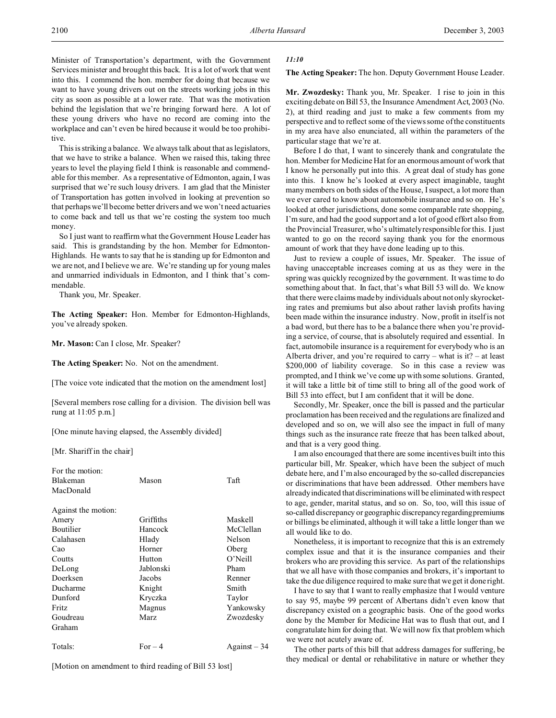Minister of Transportation's department, with the Government Services minister and brought this back. It is a lot of work that went into this. I commend the hon. member for doing that because we want to have young drivers out on the streets working jobs in this city as soon as possible at a lower rate. That was the motivation behind the legislation that we're bringing forward here. A lot of these young drivers who have no record are coming into the workplace and can't even be hired because it would be too prohibitive.

This is striking a balance. We always talk about that as legislators, that we have to strike a balance. When we raised this, taking three years to level the playing field I think is reasonable and commendable for this member. As a representative of Edmonton, again, I was surprised that we're such lousy drivers. I am glad that the Minister of Transportation has gotten involved in looking at prevention so that perhaps we'll become better drivers and we won't need actuaries to come back and tell us that we're costing the system too much money.

So I just want to reaffirm what the Government House Leader has said. This is grandstanding by the hon. Member for Edmonton-Highlands. He wants to say that he is standing up for Edmonton and we are not, and I believe we are. We're standing up for young males and unmarried individuals in Edmonton, and I think that's commendable.

Thank you, Mr. Speaker.

**The Acting Speaker:** Hon. Member for Edmonton-Highlands, you've already spoken.

**Mr. Mason:** Can I close, Mr. Speaker?

**The Acting Speaker:** No. Not on the amendment.

[The voice vote indicated that the motion on the amendment lost]

[Several members rose calling for a division. The division bell was rung at 11:05 p.m.]

[One minute having elapsed, the Assembly divided]

[Mr. Shariff in the chair]

| For the motion:     |           |              |
|---------------------|-----------|--------------|
| <b>Blakeman</b>     | Mason     | Taft         |
| MacDonald           |           |              |
| Against the motion: |           |              |
| Amery               | Griffiths | Maskell      |
| <b>Boutilier</b>    | Hancock   | McClellan    |
| Calahasen           | Hlady     | Nelson       |
| Cao                 | Horner    | Oberg        |
| Coutts              | Hutton    | $O'$ Neill   |
| DeLong              | Jablonski | Pham         |
| Doerksen            | Jacobs    | Renner       |
| Ducharme            | Knight    | Smith        |
| Dunford             | Kryczka   | Taylor       |
| <b>Fritz</b>        | Magnus    | Yankowsky    |
| Goudreau            | Marz      | Zwozdesky    |
| Graham              |           |              |
| Totals:             | $For-4$   | $Against-34$ |

[Motion on amendment to third reading of Bill 53 lost]

#### *11:10*

**The Acting Speaker:** The hon. Deputy Government House Leader.

**Mr. Zwozdesky:** Thank you, Mr. Speaker. I rise to join in this exciting debate on Bill 53, the Insurance Amendment Act, 2003 (No. 2), at third reading and just to make a few comments from my perspective and to reflect some of the views some of the constituents in my area have also enunciated, all within the parameters of the particular stage that we're at.

Before I do that, I want to sincerely thank and congratulate the hon. Member for Medicine Hat for an enormous amount of work that I know he personally put into this. A great deal of study has gone into this. I know he's looked at every aspect imaginable, taught many members on both sides of the House, I suspect, a lot more than we ever cared to know about automobile insurance and so on. He's looked at other jurisdictions, done some comparable rate shopping, I'm sure, and had the good support and a lot of good effort also from the Provincial Treasurer, who's ultimately responsible for this. I just wanted to go on the record saying thank you for the enormous amount of work that they have done leading up to this.

Just to review a couple of issues, Mr. Speaker. The issue of having unacceptable increases coming at us as they were in the spring was quickly recognized by the government. It was time to do something about that. In fact, that's what Bill 53 will do. We know that there were claims made by individuals about not only skyrocketing rates and premiums but also about rather lavish profits having been made within the insurance industry. Now, profit in itself is not a bad word, but there has to be a balance there when you're providing a service, of course, that is absolutely required and essential. In fact, automobile insurance is a requirement for everybody who is an Alberta driver, and you're required to carry – what is it? – at least \$200,000 of liability coverage. So in this case a review was prompted, and I think we've come up with some solutions. Granted, it will take a little bit of time still to bring all of the good work of Bill 53 into effect, but I am confident that it will be done.

Secondly, Mr. Speaker, once the bill is passed and the particular proclamation has been received and the regulations are finalized and developed and so on, we will also see the impact in full of many things such as the insurance rate freeze that has been talked about, and that is a very good thing.

I am also encouraged that there are some incentives built into this particular bill, Mr. Speaker, which have been the subject of much debate here, and I'm also encouraged by the so-called discrepancies or discriminations that have been addressed. Other members have already indicated that discriminations will be eliminated with respect to age, gender, marital status, and so on. So, too, will this issue of so-called discrepancy or geographic discrepancy regarding premiums or billings be eliminated, although it will take a little longer than we all would like to do.

Nonetheless, it is important to recognize that this is an extremely complex issue and that it is the insurance companies and their brokers who are providing this service. As part of the relationships that we all have with those companies and brokers, it's important to take the due diligence required to make sure that we get it done right.

I have to say that I want to really emphasize that I would venture to say 95, maybe 99 percent of Albertans didn't even know that discrepancy existed on a geographic basis. One of the good works done by the Member for Medicine Hat was to flush that out, and I congratulate him for doing that. We will now fix that problem which we were not acutely aware of.

The other parts of this bill that address damages for suffering, be they medical or dental or rehabilitative in nature or whether they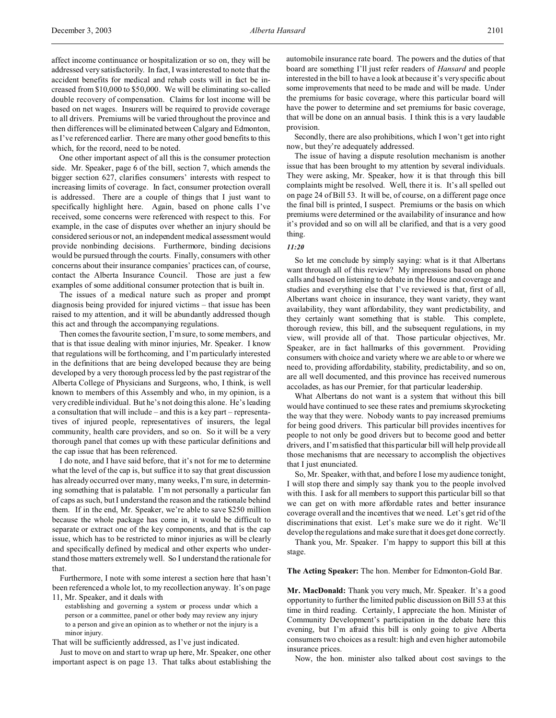affect income continuance or hospitalization or so on, they will be addressed very satisfactorily. In fact, I was interested to note that the accident benefits for medical and rehab costs will in fact be increased from \$10,000 to \$50,000. We will be eliminating so-called double recovery of compensation. Claims for lost income will be based on net wages. Insurers will be required to provide coverage to all drivers. Premiums will be varied throughout the province and then differences will be eliminated between Calgary and Edmonton, as I've referenced earlier. There are many other good benefits to this which, for the record, need to be noted.

One other important aspect of all this is the consumer protection side. Mr. Speaker, page 6 of the bill, section 7, which amends the bigger section 627, clarifies consumers' interests with respect to increasing limits of coverage. In fact, consumer protection overall is addressed. There are a couple of things that I just want to specifically highlight here. Again, based on phone calls I've received, some concerns were referenced with respect to this. For example, in the case of disputes over whether an injury should be considered serious or not, an independent medical assessment would provide nonbinding decisions. Furthermore, binding decisions would be pursued through the courts. Finally, consumers with other concerns about their insurance companies' practices can, of course, contact the Alberta Insurance Council. Those are just a few examples of some additional consumer protection that is built in.

The issues of a medical nature such as proper and prompt diagnosis being provided for injured victims – that issue has been raised to my attention, and it will be abundantly addressed though this act and through the accompanying regulations.

Then comes the favourite section, I'm sure, to some members, and that is that issue dealing with minor injuries, Mr. Speaker. I know that regulations will be forthcoming, and I'm particularly interested in the definitions that are being developed because they are being developed by a very thorough process led by the past registrar of the Alberta College of Physicians and Surgeons, who, I think, is well known to members of this Assembly and who, in my opinion, is a very credible individual. But he's not doing this alone. He's leading a consultation that will include – and this is a key part – representatives of injured people, representatives of insurers, the legal community, health care providers, and so on. So it will be a very thorough panel that comes up with these particular definitions and the cap issue that has been referenced.

I do note, and I have said before, that it's not for me to determine what the level of the cap is, but suffice it to say that great discussion has already occurred over many, many weeks, I'm sure, in determining something that is palatable. I'm not personally a particular fan of caps as such, but I understand the reason and the rationale behind them. If in the end, Mr. Speaker, we're able to save \$250 million because the whole package has come in, it would be difficult to separate or extract one of the key components, and that is the cap issue, which has to be restricted to minor injuries as will be clearly and specifically defined by medical and other experts who understand those matters extremely well. So I understand the rationale for that.

Furthermore, I note with some interest a section here that hasn't been referenced a whole lot, to my recollection anyway. It's on page 11, Mr. Speaker, and it deals with

establishing and governing a system or process under which a person or a committee, panel or other body may review any injury to a person and give an opinion as to whether or not the injury is a minor injury.

That will be sufficiently addressed, as I've just indicated.

Just to move on and start to wrap up here, Mr. Speaker, one other important aspect is on page 13. That talks about establishing the automobile insurance rate board. The powers and the duties of that board are something I'll just refer readers of *Hansard* and people interested in the bill to have a look at because it's very specific about some improvements that need to be made and will be made. Under the premiums for basic coverage, where this particular board will have the power to determine and set premiums for basic coverage, that will be done on an annual basis. I think this is a very laudable provision.

Secondly, there are also prohibitions, which I won't get into right now, but they're adequately addressed.

The issue of having a dispute resolution mechanism is another issue that has been brought to my attention by several individuals. They were asking, Mr. Speaker, how it is that through this bill complaints might be resolved. Well, there it is. It's all spelled out on page 24 of Bill 53. It will be, of course, on a different page once the final bill is printed, I suspect. Premiums or the basis on which premiums were determined or the availability of insurance and how it's provided and so on will all be clarified, and that is a very good thing.

#### *11:20*

So let me conclude by simply saying: what is it that Albertans want through all of this review? My impressions based on phone calls and based on listening to debate in the House and coverage and studies and everything else that I've reviewed is that, first of all, Albertans want choice in insurance, they want variety, they want availability, they want affordability, they want predictability, and they certainly want something that is stable. This complete, thorough review, this bill, and the subsequent regulations, in my view, will provide all of that. Those particular objectives, Mr. Speaker, are in fact hallmarks of this government. Providing consumers with choice and variety where we are able to or where we need to, providing affordability, stability, predictability, and so on, are all well documented, and this province has received numerous accolades, as has our Premier, for that particular leadership.

What Albertans do not want is a system that without this bill would have continued to see these rates and premiums skyrocketing the way that they were. Nobody wants to pay increased premiums for being good drivers. This particular bill provides incentives for people to not only be good drivers but to become good and better drivers, and I'm satisfied that this particular bill will help provide all those mechanisms that are necessary to accomplish the objectives that I just enunciated.

So, Mr. Speaker, with that, and before I lose my audience tonight, I will stop there and simply say thank you to the people involved with this. I ask for all members to support this particular bill so that we can get on with more affordable rates and better insurance coverage overall and the incentives that we need. Let's get rid of the discriminations that exist. Let's make sure we do it right. We'll develop the regulations and make sure that it does get done correctly.

Thank you, Mr. Speaker. I'm happy to support this bill at this stage.

**The Acting Speaker:** The hon. Member for Edmonton-Gold Bar.

**Mr. MacDonald:** Thank you very much, Mr. Speaker. It's a good opportunity to further the limited public discussion on Bill 53 at this time in third reading. Certainly, I appreciate the hon. Minister of Community Development's participation in the debate here this evening, but I'm afraid this bill is only going to give Alberta consumers two choices as a result: high and even higher automobile insurance prices.

Now, the hon. minister also talked about cost savings to the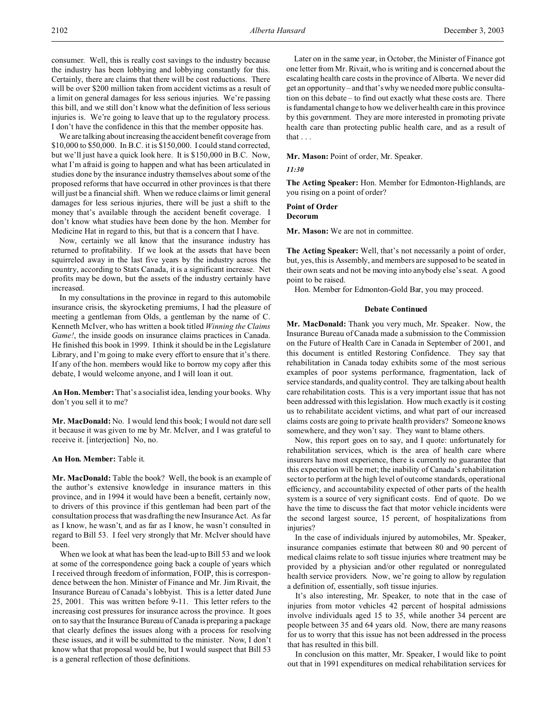consumer. Well, this is really cost savings to the industry because the industry has been lobbying and lobbying constantly for this. Certainly, there are claims that there will be cost reductions. There will be over \$200 million taken from accident victims as a result of a limit on general damages for less serious injuries. We're passing this bill, and we still don't know what the definition of less serious injuries is. We're going to leave that up to the regulatory process. I don't have the confidence in this that the member opposite has.

We are talking about increasing the accident benefit coverage from \$10,000 to \$50,000. In B.C. it is \$150,000. I could stand corrected, but we'll just have a quick look here. It is \$150,000 in B.C. Now, what I'm afraid is going to happen and what has been articulated in studies done by the insurance industry themselves about some of the proposed reforms that have occurred in other provinces is that there will just be a financial shift. When we reduce claims or limit general damages for less serious injuries, there will be just a shift to the money that's available through the accident benefit coverage. I don't know what studies have been done by the hon. Member for Medicine Hat in regard to this, but that is a concern that I have.

Now, certainly we all know that the insurance industry has returned to profitability. If we look at the assets that have been squirreled away in the last five years by the industry across the country, according to Stats Canada, it is a significant increase. Net profits may be down, but the assets of the industry certainly have increased.

In my consultations in the province in regard to this automobile insurance crisis, the skyrocketing premiums, I had the pleasure of meeting a gentleman from Olds, a gentleman by the name of C. Kenneth McIver, who has written a book titled *Winning the Claims Game!*, the inside goods on insurance claims practices in Canada. He finished this book in 1999. I think it should be in the Legislature Library, and I'm going to make every effort to ensure that it's there. If any of the hon. members would like to borrow my copy after this debate, I would welcome anyone, and I will loan it out.

**An Hon. Member:** That's a socialist idea, lending your books. Why don't you sell it to me?

**Mr. MacDonald:** No. I would lend this book; I would not dare sell it because it was given to me by Mr. McIver, and I was grateful to receive it. [interjection] No, no.

**An Hon. Member:** Table it.

**Mr. MacDonald:** Table the book? Well, the book is an example of the author's extensive knowledge in insurance matters in this province, and in 1994 it would have been a benefit, certainly now, to drivers of this province if this gentleman had been part of the consultation process that was drafting the new Insurance Act. As far as I know, he wasn't, and as far as I know, he wasn't consulted in regard to Bill 53. I feel very strongly that Mr. McIver should have been.

When we look at what has been the lead-up to Bill 53 and we look at some of the correspondence going back a couple of years which I received through freedom of information, FOIP, this is correspondence between the hon. Minister of Finance and Mr. Jim Rivait, the Insurance Bureau of Canada's lobbyist. This is a letter dated June 25, 2001. This was written before 9-11. This letter refers to the increasing cost pressures for insurance across the province. It goes on to say that the Insurance Bureau of Canada is preparing a package that clearly defines the issues along with a process for resolving these issues, and it will be submitted to the minister. Now, I don't know what that proposal would be, but I would suspect that Bill 53 is a general reflection of those definitions.

Later on in the same year, in October, the Minister of Finance got one letter from Mr. Rivait, who is writing and is concerned about the escalating health care costs in the province of Alberta. We never did get an opportunity – and that's why we needed more public consultation on this debate – to find out exactly what these costs are. There is fundamental change to how we deliver health care in this province by this government. They are more interested in promoting private health care than protecting public health care, and as a result of that . . .

**Mr. Mason:** Point of order, Mr. Speaker.

### *11:30*

**The Acting Speaker:** Hon. Member for Edmonton-Highlands, are you rising on a point of order?

#### **Point of Order Decorum**

**Mr. Mason:** We are not in committee.

**The Acting Speaker:** Well, that's not necessarily a point of order, but, yes, this is Assembly, and members are supposed to be seated in their own seats and not be moving into anybody else's seat. A good point to be raised.

Hon. Member for Edmonton-Gold Bar, you may proceed.

#### **Debate Continued**

**Mr. MacDonald:** Thank you very much, Mr. Speaker. Now, the Insurance Bureau of Canada made a submission to the Commission on the Future of Health Care in Canada in September of 2001, and this document is entitled Restoring Confidence. They say that rehabilitation in Canada today exhibits some of the most serious examples of poor systems performance, fragmentation, lack of service standards, and quality control. They are talking about health care rehabilitation costs. This is a very important issue that has not been addressed with this legislation. How much exactly is it costing us to rehabilitate accident victims, and what part of our increased claims costs are going to private health providers? Someone knows somewhere, and they won't say. They want to blame others.

Now, this report goes on to say, and I quote: unfortunately for rehabilitation services, which is the area of health care where insurers have most experience, there is currently no guarantee that this expectation will be met; the inability of Canada's rehabilitation sector to perform at the high level of outcome standards, operational efficiency, and accountability expected of other parts of the health system is a source of very significant costs. End of quote. Do we have the time to discuss the fact that motor vehicle incidents were the second largest source, 15 percent, of hospitalizations from injuries?

In the case of individuals injured by automobiles, Mr. Speaker, insurance companies estimate that between 80 and 90 percent of medical claims relate to soft tissue injuries where treatment may be provided by a physician and/or other regulated or nonregulated health service providers. Now, we're going to allow by regulation a definition of, essentially, soft tissue injuries.

It's also interesting, Mr. Speaker, to note that in the case of injuries from motor vehicles 42 percent of hospital admissions involve individuals aged 15 to 35, while another 34 percent are people between 35 and 64 years old. Now, there are many reasons for us to worry that this issue has not been addressed in the process that has resulted in this bill.

In conclusion on this matter, Mr. Speaker, I would like to point out that in 1991 expenditures on medical rehabilitation services for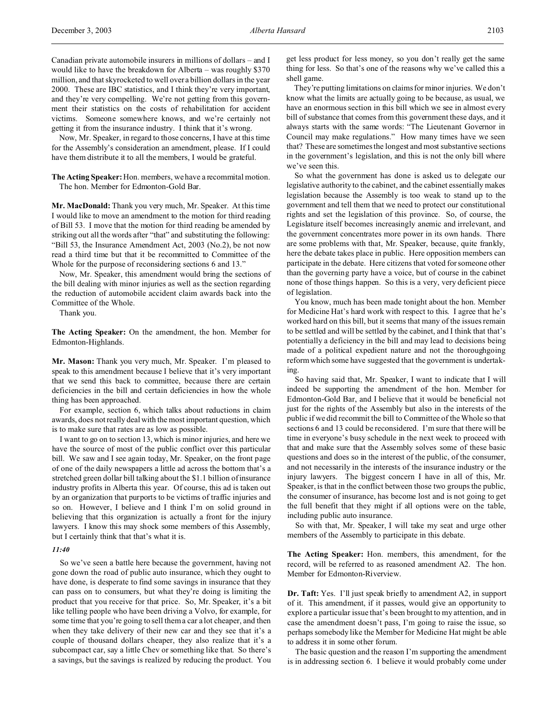Now, Mr. Speaker, in regard to those concerns, I have at this time for the Assembly's consideration an amendment, please. If I could have them distribute it to all the members, I would be grateful.

**The Acting Speaker:**Hon. members, we have a recommital motion. The hon. Member for Edmonton-Gold Bar.

**Mr. MacDonald:** Thank you very much, Mr. Speaker. At this time I would like to move an amendment to the motion for third reading of Bill 53. I move that the motion for third reading be amended by striking out all the words after "that" and substituting the following: "Bill 53, the Insurance Amendment Act, 2003 (No.2), be not now read a third time but that it be recommitted to Committee of the Whole for the purpose of reconsidering sections 6 and 13."

Now, Mr. Speaker, this amendment would bring the sections of the bill dealing with minor injuries as well as the section regarding the reduction of automobile accident claim awards back into the Committee of the Whole.

Thank you.

**The Acting Speaker:** On the amendment, the hon. Member for Edmonton-Highlands.

**Mr. Mason:** Thank you very much, Mr. Speaker. I'm pleased to speak to this amendment because I believe that it's very important that we send this back to committee, because there are certain deficiencies in the bill and certain deficiencies in how the whole thing has been approached.

For example, section 6, which talks about reductions in claim awards, does not really deal with the most important question, which is to make sure that rates are as low as possible.

I want to go on to section 13, which is minor injuries, and here we have the source of most of the public conflict over this particular bill. We saw and I see again today, Mr. Speaker, on the front page of one of the daily newspapers a little ad across the bottom that's a stretched green dollar bill talking about the \$1.1 billion of insurance industry profits in Alberta this year. Of course, this ad is taken out by an organization that purports to be victims of traffic injuries and so on. However, I believe and I think I'm on solid ground in believing that this organization is actually a front for the injury lawyers. I know this may shock some members of this Assembly, but I certainly think that that's what it is.

#### *11:40*

So we've seen a battle here because the government, having not gone down the road of public auto insurance, which they ought to have done, is desperate to find some savings in insurance that they can pass on to consumers, but what they're doing is limiting the product that you receive for that price. So, Mr. Speaker, it's a bit like telling people who have been driving a Volvo, for example, for some time that you're going to sell them a car a lot cheaper, and then when they take delivery of their new car and they see that it's a couple of thousand dollars cheaper, they also realize that it's a subcompact car, say a little Chev or something like that. So there's a savings, but the savings is realized by reducing the product. You

get less product for less money, so you don't really get the same thing for less. So that's one of the reasons why we've called this a shell game.

They're putting limitations on claims for minor injuries. We don't know what the limits are actually going to be because, as usual, we have an enormous section in this bill which we see in almost every bill of substance that comes from this government these days, and it always starts with the same words: "The Lieutenant Governor in Council may make regulations." How many times have we seen that? These are sometimes the longest and most substantive sections in the government's legislation, and this is not the only bill where we've seen this.

So what the government has done is asked us to delegate our legislative authority to the cabinet, and the cabinet essentially makes legislation because the Assembly is too weak to stand up to the government and tell them that we need to protect our constitutional rights and set the legislation of this province. So, of course, the Legislature itself becomes increasingly anemic and irrelevant, and the government concentrates more power in its own hands. There are some problems with that, Mr. Speaker, because, quite frankly, here the debate takes place in public. Here opposition members can participate in the debate. Here citizens that voted for someone other than the governing party have a voice, but of course in the cabinet none of those things happen. So this is a very, very deficient piece of legislation.

You know, much has been made tonight about the hon. Member for Medicine Hat's hard work with respect to this. I agree that he's worked hard on this bill, but it seems that many of the issues remain to be settled and will be settled by the cabinet, and I think that that's potentially a deficiency in the bill and may lead to decisions being made of a political expedient nature and not the thoroughgoing reform which some have suggested that the government is undertaking.

So having said that, Mr. Speaker, I want to indicate that I will indeed be supporting the amendment of the hon. Member for Edmonton-Gold Bar, and I believe that it would be beneficial not just for the rights of the Assembly but also in the interests of the public if we did recommit the bill to Committee of the Whole so that sections 6 and 13 could be reconsidered. I'm sure that there will be time in everyone's busy schedule in the next week to proceed with that and make sure that the Assembly solves some of these basic questions and does so in the interest of the public, of the consumer, and not necessarily in the interests of the insurance industry or the injury lawyers. The biggest concern I have in all of this, Mr. Speaker, is that in the conflict between those two groups the public, the consumer of insurance, has become lost and is not going to get the full benefit that they might if all options were on the table, including public auto insurance.

So with that, Mr. Speaker, I will take my seat and urge other members of the Assembly to participate in this debate.

**The Acting Speaker:** Hon. members, this amendment, for the record, will be referred to as reasoned amendment A2. The hon. Member for Edmonton-Riverview.

**Dr. Taft:** Yes. I'll just speak briefly to amendment A2, in support of it. This amendment, if it passes, would give an opportunity to explore a particular issue that's been brought to my attention, and in case the amendment doesn't pass, I'm going to raise the issue, so perhaps somebody like the Member for Medicine Hat might be able to address it in some other forum.

The basic question and the reason I'm supporting the amendment is in addressing section 6. I believe it would probably come under